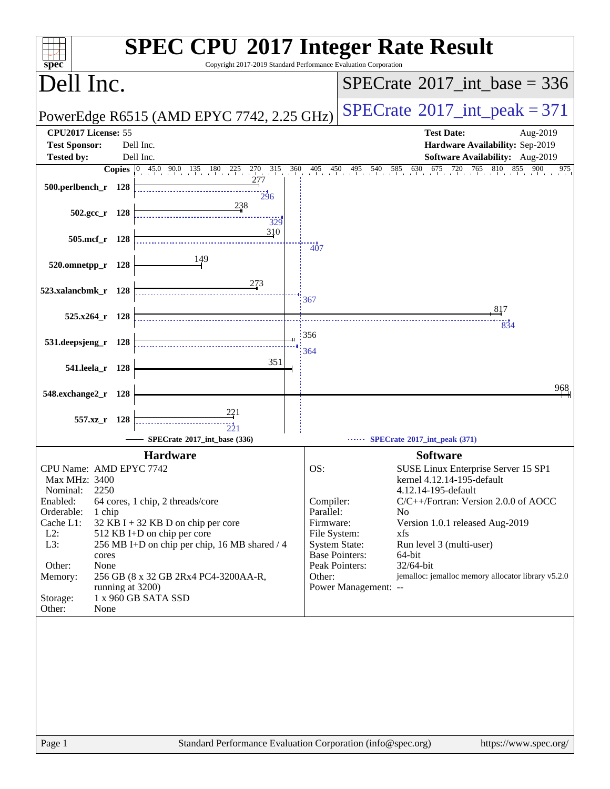| <b>SPEC CPU®2017 Integer Rate Result</b><br>Copyright 2017-2019 Standard Performance Evaluation Corporation<br>spec <sup>®</sup> |     |                        |                                                                        |
|----------------------------------------------------------------------------------------------------------------------------------|-----|------------------------|------------------------------------------------------------------------|
| Dell Inc.                                                                                                                        |     |                        | $SPECrate^{\circledast}2017\_int\_base = 336$                          |
| PowerEdge R6515 (AMD EPYC 7742, 2.25 GHz)                                                                                        |     |                        | $SPECTate$ <sup>®</sup> 2017_int_peak = 371                            |
| CPU2017 License: 55                                                                                                              |     |                        | <b>Test Date:</b><br>Aug-2019                                          |
| <b>Test Sponsor:</b><br>Dell Inc.                                                                                                |     |                        | Hardware Availability: Sep-2019                                        |
| Dell Inc.<br><b>Tested by:</b>                                                                                                   |     |                        | Software Availability: Aug-2019                                        |
| $\frac{270}{1}$ $\frac{315}{1}$<br><b>Copies</b> $\begin{bmatrix} 0 & 45.0 & 90.0 & 135 & 180 & 225 \end{bmatrix}$               | 360 | $^{405}$<br>450        | $495$ $540$ $585$ $630$ $675$ $720$<br>765<br>810<br>855<br>900<br>975 |
| 277<br>500.perlbench_r 128                                                                                                       |     |                        |                                                                        |
| 296<br>238                                                                                                                       |     |                        |                                                                        |
| $502.\text{gcc}_r$ 128                                                                                                           |     |                        |                                                                        |
| 329<br>310                                                                                                                       |     |                        |                                                                        |
| 505.mcf_r 128                                                                                                                    |     | 407                    |                                                                        |
| 149                                                                                                                              |     |                        |                                                                        |
| 520.omnetpp_r 128                                                                                                                |     |                        |                                                                        |
| 273                                                                                                                              |     |                        |                                                                        |
| 523.xalancbmk_r 128                                                                                                              |     | 367                    |                                                                        |
| $525.x264$ r 128                                                                                                                 |     |                        | 817                                                                    |
|                                                                                                                                  |     |                        | 834                                                                    |
| 531.deepsjeng_r 128                                                                                                              |     | 356                    |                                                                        |
|                                                                                                                                  |     | 364                    |                                                                        |
| 351<br>541.leela_r 128                                                                                                           |     |                        |                                                                        |
|                                                                                                                                  |     |                        |                                                                        |
| 548.exchange2_r 128                                                                                                              |     |                        | 968                                                                    |
|                                                                                                                                  |     |                        |                                                                        |
| 557.xz_r 128                                                                                                                     |     |                        |                                                                        |
| SPECrate®2017_int_base (336)                                                                                                     |     |                        | SPECrate®2017_int_peak (371)                                           |
| <b>Hardware</b>                                                                                                                  |     |                        | <b>Software</b>                                                        |
| CPU Name: AMD EPYC 7742                                                                                                          |     | OS:                    | SUSE Linux Enterprise Server 15 SP1                                    |
| Max MHz: 3400                                                                                                                    |     |                        | kernel 4.12.14-195-default                                             |
| 2250<br>Nominal:                                                                                                                 |     |                        | 4.12.14-195-default                                                    |
| Enabled:<br>64 cores, 1 chip, 2 threads/core<br>Orderable:                                                                       |     | Compiler:<br>Parallel: | C/C++/Fortran: Version 2.0.0 of AOCC<br>N <sub>o</sub>                 |
| 1 chip<br>Cache L1:<br>$32$ KB I + 32 KB D on chip per core                                                                      |     | Firmware:              | Version 1.0.1 released Aug-2019                                        |
| $L2$ :<br>512 KB I+D on chip per core                                                                                            |     | File System:           | xfs                                                                    |
| L3:<br>256 MB I+D on chip per chip, 16 MB shared / 4                                                                             |     |                        | <b>System State:</b><br>Run level 3 (multi-user)                       |
| cores<br>Other:<br>None                                                                                                          |     |                        | <b>Base Pointers:</b><br>64-bit<br>Peak Pointers:<br>32/64-bit         |
| Memory:<br>256 GB (8 x 32 GB 2Rx4 PC4-3200AA-R,                                                                                  |     | Other:                 | jemalloc: jemalloc memory allocator library v5.2.0                     |
| running at 3200)                                                                                                                 |     |                        | Power Management: --                                                   |
| Storage:<br>1 x 960 GB SATA SSD                                                                                                  |     |                        |                                                                        |
| Other:<br>None                                                                                                                   |     |                        |                                                                        |
|                                                                                                                                  |     |                        |                                                                        |
|                                                                                                                                  |     |                        |                                                                        |
|                                                                                                                                  |     |                        |                                                                        |
|                                                                                                                                  |     |                        |                                                                        |
|                                                                                                                                  |     |                        |                                                                        |
|                                                                                                                                  |     |                        |                                                                        |
|                                                                                                                                  |     |                        |                                                                        |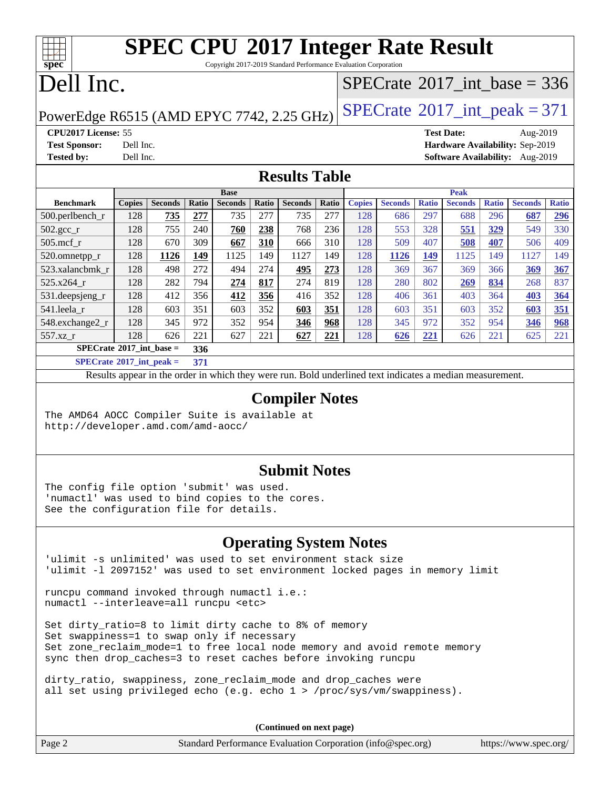Copyright 2017-2019 Standard Performance Evaluation Corporation

## Dell Inc.

**[spec](http://www.spec.org/)**

### $SPECrate$ <sup>®</sup>[2017\\_int\\_base =](http://www.spec.org/auto/cpu2017/Docs/result-fields.html#SPECrate2017intbase) 336

PowerEdge R6515 (AMD EPYC 7742, 2.25 GHz)  $\left|$  [SPECrate](http://www.spec.org/auto/cpu2017/Docs/result-fields.html#SPECrate2017intpeak)®[2017\\_int\\_peak = 3](http://www.spec.org/auto/cpu2017/Docs/result-fields.html#SPECrate2017intpeak)71

**[CPU2017 License:](http://www.spec.org/auto/cpu2017/Docs/result-fields.html#CPU2017License)** 55 **[Test Date:](http://www.spec.org/auto/cpu2017/Docs/result-fields.html#TestDate)** Aug-2019 **[Test Sponsor:](http://www.spec.org/auto/cpu2017/Docs/result-fields.html#TestSponsor)** Dell Inc. **[Hardware Availability:](http://www.spec.org/auto/cpu2017/Docs/result-fields.html#HardwareAvailability)** Sep-2019 **[Tested by:](http://www.spec.org/auto/cpu2017/Docs/result-fields.html#Testedby)** Dell Inc. **[Software Availability:](http://www.spec.org/auto/cpu2017/Docs/result-fields.html#SoftwareAvailability)** Aug-2019

### **[Results Table](http://www.spec.org/auto/cpu2017/Docs/result-fields.html#ResultsTable)**

|                                   | <b>Base</b>   |                |       |                |       |                |       |               | <b>Peak</b>    |              |                |              |                |       |
|-----------------------------------|---------------|----------------|-------|----------------|-------|----------------|-------|---------------|----------------|--------------|----------------|--------------|----------------|-------|
| <b>Benchmark</b>                  | <b>Copies</b> | <b>Seconds</b> | Ratio | <b>Seconds</b> | Ratio | <b>Seconds</b> | Ratio | <b>Copies</b> | <b>Seconds</b> | <b>Ratio</b> | <b>Seconds</b> | <b>Ratio</b> | <b>Seconds</b> | Ratio |
| 500.perlbench_r                   | 128           | 735            | 277   | 735            | 277   | 735            | 277   | 128           | 686            | 297          | 688            | 296          | 687            | 296   |
| $502.\text{gcc\_r}$               | 128           | 755            | 240   | 760            | 238   | 768            | 236   | 128           | 553            | 328          | 551            | 329          | 549            | 330   |
| $505$ .mcf r                      | 128           | 670            | 309   | 667            | 310   | 666            | 310   | 128           | 509            | 407          | 508            | 407          | 506            | 409   |
| 520.omnetpp_r                     | 128           | 1126           | 149   | 1125           | 149   | 1127           | 149   | 128           | 1126           | 149          | 1125           | 149          | 1127           | 149   |
| 523.xalancbmk r                   | 128           | 498            | 272   | 494            | 274   | 495            | 273   | 128           | 369            | 367          | 369            | 366          | 369            | 367   |
| 525.x264 r                        | 128           | 282            | 794   | 274            | 817   | 274            | 819   | 128           | 280            | 802          | 269            | 834          | 268            | 837   |
| 531.deepsjeng_r                   | 128           | 412            | 356   | 412            | 356   | 416            | 352   | 128           | 406            | 361          | 403            | 364          | 403            | 364   |
| 541.leela r                       | 128           | 603            | 351   | 603            | 352   | 603            | 351   | 128           | 603            | 351          | 603            | 352          | 603            | 351   |
| 548.exchange2_r                   | 128           | 345            | 972   | 352            | 954   | 346            | 968   | 128           | 345            | 972          | 352            | 954          | 346            | 968   |
| 557.xz r                          | 128           | 626            | 221   | 627            | 221   | 627            | 221   | 128           | 626            | 221          | 626            | 221          | 625            | 221   |
| $SPECrate^{\circ}2017$ int base = | 336           |                |       |                |       |                |       |               |                |              |                |              |                |       |
| _____                             |               |                |       |                |       |                |       |               |                |              |                |              |                |       |

**[SPECrate](http://www.spec.org/auto/cpu2017/Docs/result-fields.html#SPECrate2017intpeak)[2017\\_int\\_peak =](http://www.spec.org/auto/cpu2017/Docs/result-fields.html#SPECrate2017intpeak) 371**

Results appear in the [order in which they were run](http://www.spec.org/auto/cpu2017/Docs/result-fields.html#RunOrder). Bold underlined text [indicates a median measurement](http://www.spec.org/auto/cpu2017/Docs/result-fields.html#Median).

#### **[Compiler Notes](http://www.spec.org/auto/cpu2017/Docs/result-fields.html#CompilerNotes)**

The AMD64 AOCC Compiler Suite is available at <http://developer.amd.com/amd-aocc/>

### **[Submit Notes](http://www.spec.org/auto/cpu2017/Docs/result-fields.html#SubmitNotes)**

The config file option 'submit' was used. 'numactl' was used to bind copies to the cores. See the configuration file for details.

### **[Operating System Notes](http://www.spec.org/auto/cpu2017/Docs/result-fields.html#OperatingSystemNotes)**

'ulimit -s unlimited' was used to set environment stack size 'ulimit -l 2097152' was used to set environment locked pages in memory limit

runcpu command invoked through numactl i.e.: numactl --interleave=all runcpu <etc>

Set dirty\_ratio=8 to limit dirty cache to 8% of memory Set swappiness=1 to swap only if necessary Set zone\_reclaim\_mode=1 to free local node memory and avoid remote memory sync then drop\_caches=3 to reset caches before invoking runcpu

dirty\_ratio, swappiness, zone\_reclaim\_mode and drop\_caches were all set using privileged echo (e.g. echo 1 > /proc/sys/vm/swappiness).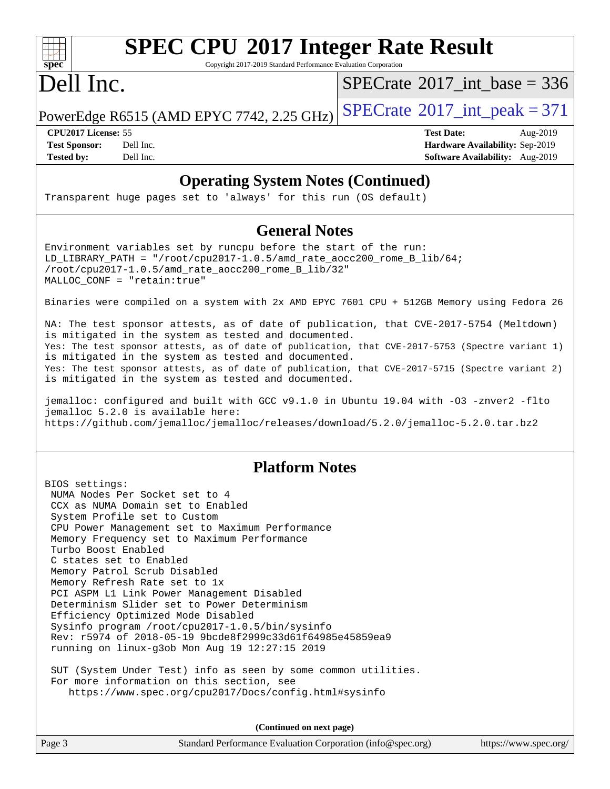

Copyright 2017-2019 Standard Performance Evaluation Corporation

### Dell Inc.

 $SPECrate$ <sup>®</sup>[2017\\_int\\_base =](http://www.spec.org/auto/cpu2017/Docs/result-fields.html#SPECrate2017intbase) 336

PowerEdge R6515 (AMD EPYC 7742, 2.25 GHz)  $\left|$  [SPECrate](http://www.spec.org/auto/cpu2017/Docs/result-fields.html#SPECrate2017intpeak)®[2017\\_int\\_peak = 3](http://www.spec.org/auto/cpu2017/Docs/result-fields.html#SPECrate2017intpeak)71

**[Tested by:](http://www.spec.org/auto/cpu2017/Docs/result-fields.html#Testedby)** Dell Inc. **[Software Availability:](http://www.spec.org/auto/cpu2017/Docs/result-fields.html#SoftwareAvailability)** Aug-2019

**[CPU2017 License:](http://www.spec.org/auto/cpu2017/Docs/result-fields.html#CPU2017License)** 55 **[Test Date:](http://www.spec.org/auto/cpu2017/Docs/result-fields.html#TestDate)** Aug-2019 **[Test Sponsor:](http://www.spec.org/auto/cpu2017/Docs/result-fields.html#TestSponsor)** Dell Inc. **[Hardware Availability:](http://www.spec.org/auto/cpu2017/Docs/result-fields.html#HardwareAvailability)** Sep-2019

### **[Operating System Notes \(Continued\)](http://www.spec.org/auto/cpu2017/Docs/result-fields.html#OperatingSystemNotes)**

Transparent huge pages set to 'always' for this run (OS default)

#### **[General Notes](http://www.spec.org/auto/cpu2017/Docs/result-fields.html#GeneralNotes)**

Environment variables set by runcpu before the start of the run: LD\_LIBRARY\_PATH = "/root/cpu2017-1.0.5/amd\_rate\_aocc200\_rome\_B\_lib/64;  $/root/cpu2017-1.0.5/amd rate aocc200$  rome B lib/32" MALLOC\_CONF = "retain:true"

Binaries were compiled on a system with 2x AMD EPYC 7601 CPU + 512GB Memory using Fedora 26

NA: The test sponsor attests, as of date of publication, that CVE-2017-5754 (Meltdown) is mitigated in the system as tested and documented. Yes: The test sponsor attests, as of date of publication, that CVE-2017-5753 (Spectre variant 1) is mitigated in the system as tested and documented. Yes: The test sponsor attests, as of date of publication, that CVE-2017-5715 (Spectre variant 2) is mitigated in the system as tested and documented.

jemalloc: configured and built with GCC v9.1.0 in Ubuntu 19.04 with -O3 -znver2 -flto jemalloc 5.2.0 is available here: <https://github.com/jemalloc/jemalloc/releases/download/5.2.0/jemalloc-5.2.0.tar.bz2>

### **[Platform Notes](http://www.spec.org/auto/cpu2017/Docs/result-fields.html#PlatformNotes)**

BIOS settings: NUMA Nodes Per Socket set to 4 CCX as NUMA Domain set to Enabled System Profile set to Custom CPU Power Management set to Maximum Performance Memory Frequency set to Maximum Performance Turbo Boost Enabled C states set to Enabled Memory Patrol Scrub Disabled Memory Refresh Rate set to 1x PCI ASPM L1 Link Power Management Disabled Determinism Slider set to Power Determinism Efficiency Optimized Mode Disabled Sysinfo program /root/cpu2017-1.0.5/bin/sysinfo Rev: r5974 of 2018-05-19 9bcde8f2999c33d61f64985e45859ea9 running on linux-g3ob Mon Aug 19 12:27:15 2019

 SUT (System Under Test) info as seen by some common utilities. For more information on this section, see <https://www.spec.org/cpu2017/Docs/config.html#sysinfo>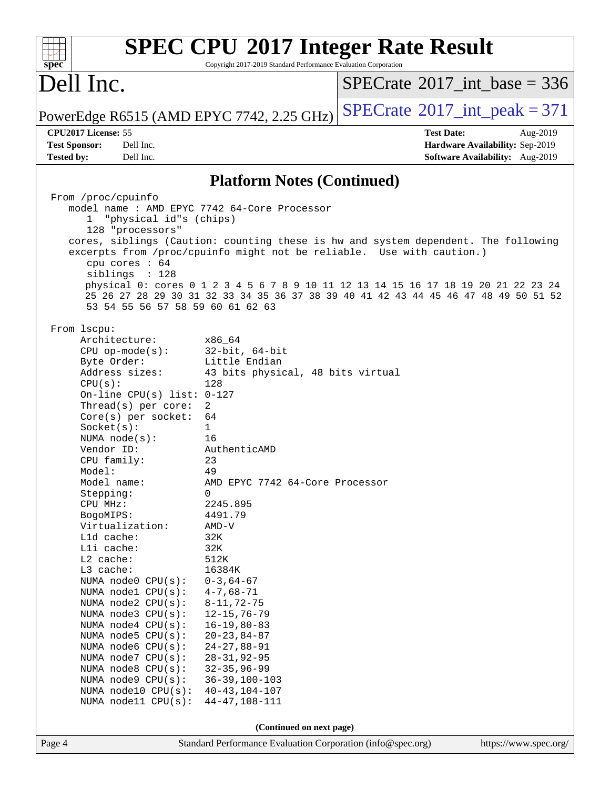| $spec^*$                                    | Copyright 2017-2019 Standard Performance Evaluation Corporation | <b>SPEC CPU®2017 Integer Rate Result</b>                                            |  |
|---------------------------------------------|-----------------------------------------------------------------|-------------------------------------------------------------------------------------|--|
| Dell Inc.                                   |                                                                 | $SPECrate^{\circ}2017\_int\_base = 336$                                             |  |
| PowerEdge R6515 (AMD EPYC 7742, 2.25 GHz)   |                                                                 | $SPECTate$ <sup>®</sup> 2017_int_peak = 371                                         |  |
| CPU2017 License: 55                         |                                                                 | <b>Test Date:</b><br>Aug-2019                                                       |  |
| <b>Test Sponsor:</b><br>Dell Inc.           |                                                                 | Hardware Availability: Sep-2019                                                     |  |
| <b>Tested by:</b><br>Dell Inc.              |                                                                 | Software Availability: Aug-2019                                                     |  |
|                                             | <b>Platform Notes (Continued)</b>                               |                                                                                     |  |
| From /proc/cpuinfo                          |                                                                 |                                                                                     |  |
| model name: AMD EPYC 7742 64-Core Processor |                                                                 |                                                                                     |  |
| "physical id"s (chips)<br>$\mathbf{1}$      |                                                                 |                                                                                     |  |
| 128 "processors"                            |                                                                 |                                                                                     |  |
|                                             |                                                                 | cores, siblings (Caution: counting these is hw and system dependent. The following  |  |
| cpu cores : 64                              |                                                                 | excerpts from /proc/cpuinfo might not be reliable. Use with caution.)               |  |
| siblings : 128                              |                                                                 |                                                                                     |  |
|                                             |                                                                 | physical 0: cores 0 1 2 3 4 5 6 7 8 9 10 11 12 13 14 15 16 17 18 19 20 21 22 23 24  |  |
|                                             |                                                                 | 25 26 27 28 29 30 31 32 33 34 35 36 37 38 39 40 41 42 43 44 45 46 47 48 49 50 51 52 |  |
| 53 54 55 56 57 58 59 60 61 62 63            |                                                                 |                                                                                     |  |
|                                             |                                                                 |                                                                                     |  |
| From 1scpu:<br>Architecture:                |                                                                 |                                                                                     |  |
| $CPU$ op-mode( $s$ ):                       | x86 64<br>$32$ -bit, $64$ -bit                                  |                                                                                     |  |
| Byte Order:                                 | Little Endian                                                   |                                                                                     |  |
| Address sizes:                              | 43 bits physical, 48 bits virtual                               |                                                                                     |  |
| CPU(s):                                     | 128                                                             |                                                                                     |  |
| On-line CPU(s) list: 0-127                  |                                                                 |                                                                                     |  |
| Thread(s) per core:                         | 2                                                               |                                                                                     |  |
| Core(s) per socket:                         | 64                                                              |                                                                                     |  |
| Socket(s):                                  | 1                                                               |                                                                                     |  |
| NUMA $node(s):$                             | 16                                                              |                                                                                     |  |
| Vendor ID:                                  | AuthenticAMD                                                    |                                                                                     |  |
| CPU family:                                 | 23                                                              |                                                                                     |  |
| Model:<br>Model name:                       | 49<br>AMD EPYC 7742 64-Core Processor                           |                                                                                     |  |
| Stepping:                                   | 0                                                               |                                                                                     |  |
| CPU MHz:                                    | 2245.895                                                        |                                                                                     |  |
| BogoMIPS:                                   | 4491.79                                                         |                                                                                     |  |
| Virtualization:                             | $AMD-V$                                                         |                                                                                     |  |
| L1d cache:                                  | 32K                                                             |                                                                                     |  |
| Lli cache:                                  | 32K                                                             |                                                                                     |  |
| L2 cache:                                   | 512K                                                            |                                                                                     |  |
| L3 cache:                                   | 16384K                                                          |                                                                                     |  |
| NUMA node0 CPU(s):<br>NUMA nodel CPU(s):    | $0 - 3, 64 - 67$<br>$4 - 7,68 - 71$                             |                                                                                     |  |
| NUMA node2 CPU(s):                          | $8 - 11, 72 - 75$                                               |                                                                                     |  |
| NUMA node3 CPU(s):                          | $12 - 15, 76 - 79$                                              |                                                                                     |  |
| NUMA node4 CPU(s):                          | $16 - 19, 80 - 83$                                              |                                                                                     |  |
| NUMA node5 CPU(s):                          | $20 - 23, 84 - 87$                                              |                                                                                     |  |
| NUMA node6 CPU(s):                          | $24 - 27, 88 - 91$                                              |                                                                                     |  |
| NUMA node7 CPU(s):                          | $28 - 31, 92 - 95$                                              |                                                                                     |  |
| NUMA node8 CPU(s):                          | $32 - 35, 96 - 99$                                              |                                                                                     |  |
| NUMA node9 CPU(s):                          | $36 - 39, 100 - 103$                                            |                                                                                     |  |
| NUMA node10 CPU(s):                         | $40 - 43, 104 - 107$                                            |                                                                                     |  |
| NUMA node11 CPU(s):                         | $44 - 47, 108 - 111$                                            |                                                                                     |  |
|                                             |                                                                 |                                                                                     |  |
|                                             | (Continued on next page)                                        |                                                                                     |  |
| Page 4                                      | Standard Performance Evaluation Corporation (info@spec.org)     | https://www.spec.org/                                                               |  |
|                                             |                                                                 |                                                                                     |  |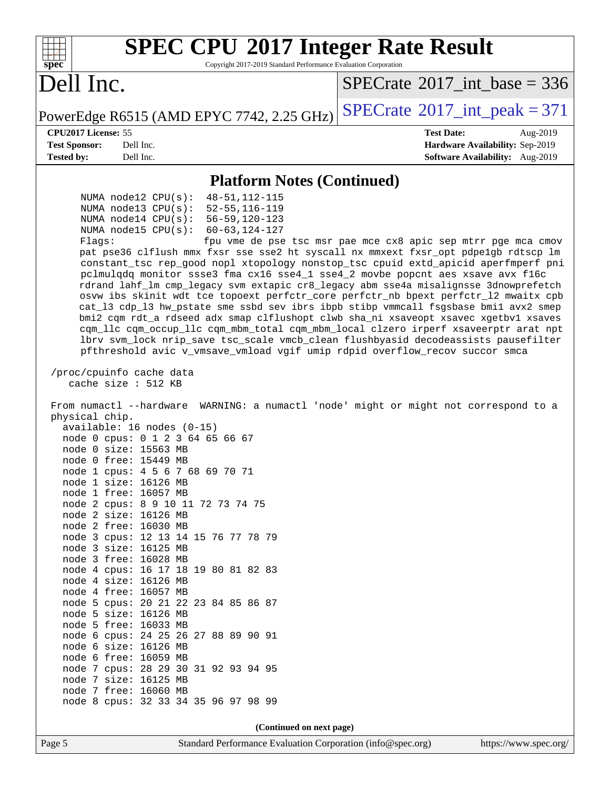| <b>SPEC CPU®2017 Integer Rate Result</b><br>Copyright 2017-2019 Standard Performance Evaluation Corporation<br>spec <sup>®</sup>                                                                                                                                                                                                                                                                                                                                                                                                                                                                                                                                                                                                                                                                                                                                                                                                                                                                                                                                                                         |                                                               |  |  |  |  |  |
|----------------------------------------------------------------------------------------------------------------------------------------------------------------------------------------------------------------------------------------------------------------------------------------------------------------------------------------------------------------------------------------------------------------------------------------------------------------------------------------------------------------------------------------------------------------------------------------------------------------------------------------------------------------------------------------------------------------------------------------------------------------------------------------------------------------------------------------------------------------------------------------------------------------------------------------------------------------------------------------------------------------------------------------------------------------------------------------------------------|---------------------------------------------------------------|--|--|--|--|--|
| Dell Inc.                                                                                                                                                                                                                                                                                                                                                                                                                                                                                                                                                                                                                                                                                                                                                                                                                                                                                                                                                                                                                                                                                                | $SPECTate$ <sup>®</sup> 2017_int_base = 336                   |  |  |  |  |  |
| PowerEdge R6515 (AMD EPYC 7742, 2.25 GHz)                                                                                                                                                                                                                                                                                                                                                                                                                                                                                                                                                                                                                                                                                                                                                                                                                                                                                                                                                                                                                                                                | $SPECTate$ <sup>®</sup> 2017_int_peak = 371                   |  |  |  |  |  |
| CPU2017 License: 55                                                                                                                                                                                                                                                                                                                                                                                                                                                                                                                                                                                                                                                                                                                                                                                                                                                                                                                                                                                                                                                                                      | <b>Test Date:</b><br>Aug-2019                                 |  |  |  |  |  |
| <b>Test Sponsor:</b><br>Dell Inc.                                                                                                                                                                                                                                                                                                                                                                                                                                                                                                                                                                                                                                                                                                                                                                                                                                                                                                                                                                                                                                                                        | Hardware Availability: Sep-2019                               |  |  |  |  |  |
| <b>Tested by:</b><br>Dell Inc.                                                                                                                                                                                                                                                                                                                                                                                                                                                                                                                                                                                                                                                                                                                                                                                                                                                                                                                                                                                                                                                                           | Software Availability: Aug-2019                               |  |  |  |  |  |
| <b>Platform Notes (Continued)</b>                                                                                                                                                                                                                                                                                                                                                                                                                                                                                                                                                                                                                                                                                                                                                                                                                                                                                                                                                                                                                                                                        |                                                               |  |  |  |  |  |
| $48 - 51, 112 - 115$<br>NUMA $node12$ CPU $(s)$ :<br>$52 - 55, 116 - 119$<br>NUMA node13 $CPU(s):$<br>NUMA node14 CPU(s):<br>$56 - 59, 120 - 123$<br>NUMA $node15$ CPU $(s):$<br>$60 - 63, 124 - 127$<br>Flaqs:<br>pat pse36 clflush mmx fxsr sse sse2 ht syscall nx mmxext fxsr_opt pdpe1gb rdtscp lm<br>constant_tsc rep_good nopl xtopology nonstop_tsc cpuid extd_apicid aperfmperf pni<br>pclmulqdq monitor ssse3 fma cx16 sse4_1 sse4_2 movbe popcnt aes xsave avx f16c<br>rdrand lahf_lm cmp_legacy svm extapic cr8_legacy abm sse4a misalignsse 3dnowprefetch<br>osvw ibs skinit wdt tce topoext perfctr_core perfctr_nb bpext perfctr_12 mwaitx cpb<br>cat_13 cdp_13 hw_pstate sme ssbd sev ibrs ibpb stibp vmmcall fsgsbase bmil avx2 smep<br>bmi2 cqm rdt_a rdseed adx smap clflushopt clwb sha_ni xsaveopt xsavec xgetbvl xsaves<br>cqm_llc cqm_occup_llc cqm_mbm_total cqm_mbm_local clzero irperf xsaveerptr arat npt<br>lbrv svm_lock nrip_save tsc_scale vmcb_clean flushbyasid decodeassists pausefilter<br>pfthreshold avic v_vmsave_vmload vgif umip rdpid overflow_recov succor smca | fpu vme de pse tsc msr pae mce cx8 apic sep mtrr pge mca cmov |  |  |  |  |  |
| /proc/cpuinfo cache data<br>cache size : 512 KB<br>WARNING: a numactl 'node' might or might not correspond to a<br>From numactl --hardware<br>physical chip.<br>$available: 16 nodes (0-15)$<br>node 0 cpus: 0 1 2 3 64 65 66 67<br>node 0 size: 15563 MB<br>node 0 free: 15449 MB<br>node 1 cpus: 4 5 6 7 68 69 70 71<br>node 1 size: 16126 MB<br>node 1 free: 16057 MB<br>node 2 cpus: 8 9 10 11 72 73 74 75<br>node 2 size: 16126 MB<br>node 2 free: 16030 MB<br>node 3 cpus: 12 13 14 15 76 77 78 79<br>node 3 size: 16125 MB<br>node 3 free: 16028 MB<br>node 4 cpus: 16 17 18 19 80 81 82 83<br>node 4 size: 16126 MB<br>node 4 free: 16057 MB<br>node 5 cpus: 20 21 22 23 84 85 86 87<br>node 5 size: 16126 MB<br>node 5 free: 16033 MB<br>node 6 cpus: 24 25 26 27 88 89 90 91<br>node 6 size: 16126 MB<br>node 6 free: 16059 MB<br>node 7 cpus: 28 29 30 31 92 93 94 95<br>node 7 size: 16125 MB<br>node 7 free: 16060 MB<br>node 8 cpus: 32 33 34 35 96 97 98 99                                                                                                                               |                                                               |  |  |  |  |  |
| (Continued on next page)                                                                                                                                                                                                                                                                                                                                                                                                                                                                                                                                                                                                                                                                                                                                                                                                                                                                                                                                                                                                                                                                                 |                                                               |  |  |  |  |  |
| Page 5<br>Standard Performance Evaluation Corporation (info@spec.org)                                                                                                                                                                                                                                                                                                                                                                                                                                                                                                                                                                                                                                                                                                                                                                                                                                                                                                                                                                                                                                    | https://www.spec.org/                                         |  |  |  |  |  |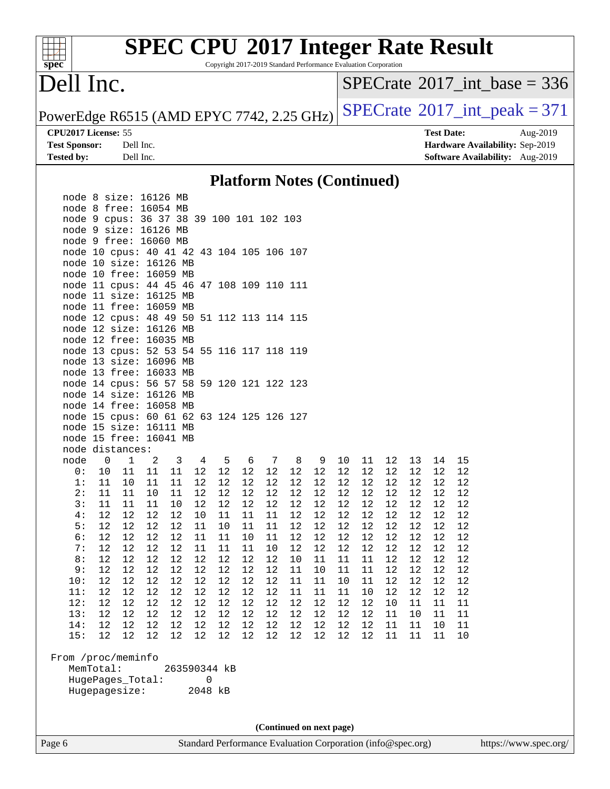Copyright 2017-2019 Standard Performance Evaluation Corporation

### Dell Inc.

**[spec](http://www.spec.org/)**

 $\pm$ 

 $SPECrate$ <sup>®</sup>[2017\\_int\\_base =](http://www.spec.org/auto/cpu2017/Docs/result-fields.html#SPECrate2017intbase) 336

PowerEdge R6515 (AMD EPYC 7742, 2.25 GHz)  $SPECrate^{\circ}2017\_int\_peak = 371$  $SPECrate^{\circ}2017\_int\_peak = 371$ 

**[Test Sponsor:](http://www.spec.org/auto/cpu2017/Docs/result-fields.html#TestSponsor)** Dell Inc. **[Hardware Availability:](http://www.spec.org/auto/cpu2017/Docs/result-fields.html#HardwareAvailability)** Sep-2019 **[Tested by:](http://www.spec.org/auto/cpu2017/Docs/result-fields.html#Testedby)** Dell Inc. **[Software Availability:](http://www.spec.org/auto/cpu2017/Docs/result-fields.html#SoftwareAvailability)** Aug-2019

**[CPU2017 License:](http://www.spec.org/auto/cpu2017/Docs/result-fields.html#CPU2017License)** 55 **[Test Date:](http://www.spec.org/auto/cpu2017/Docs/result-fields.html#TestDate)** Aug-2019

#### **[Platform Notes \(Continued\)](http://www.spec.org/auto/cpu2017/Docs/result-fields.html#PlatformNotes)**

|                    |                | node 8 size: 16126 MB                     |          |          |                |          |          |          |          |          |          |          |                 |          |          |          |
|--------------------|----------------|-------------------------------------------|----------|----------|----------------|----------|----------|----------|----------|----------|----------|----------|-----------------|----------|----------|----------|
|                    |                | node 8 free: 16054 MB                     |          |          |                |          |          |          |          |          |          |          |                 |          |          |          |
|                    |                | node 9 cpus: 36 37 38 39 100 101 102 103  |          |          |                |          |          |          |          |          |          |          |                 |          |          |          |
|                    |                | node 9 size: 16126 MB                     |          |          |                |          |          |          |          |          |          |          |                 |          |          |          |
|                    |                | node 9 free: 16060 MB                     |          |          |                |          |          |          |          |          |          |          |                 |          |          |          |
|                    |                | node 10 cpus: 40 41 42 43 104 105 106 107 |          |          |                |          |          |          |          |          |          |          |                 |          |          |          |
|                    |                | node 10 size: 16126 MB                    |          |          |                |          |          |          |          |          |          |          |                 |          |          |          |
|                    |                | node 10 free: 16059 MB                    |          |          |                |          |          |          |          |          |          |          |                 |          |          |          |
|                    |                | node 11 cpus: 44 45 46 47 108 109 110 111 |          |          |                |          |          |          |          |          |          |          |                 |          |          |          |
|                    |                | node 11 size: 16125 MB                    |          |          |                |          |          |          |          |          |          |          |                 |          |          |          |
|                    |                | node 11 free: 16059 MB                    |          |          |                |          |          |          |          |          |          |          |                 |          |          |          |
|                    |                | node 12 cpus: 48 49 50 51 112 113 114 115 |          |          |                |          |          |          |          |          |          |          |                 |          |          |          |
|                    |                | node 12 size: 16126 MB                    |          |          |                |          |          |          |          |          |          |          |                 |          |          |          |
|                    |                | node 12 free: 16035 MB                    |          |          |                |          |          |          |          |          |          |          |                 |          |          |          |
|                    |                | node 13 cpus: 52 53 54 55 116 117 118 119 |          |          |                |          |          |          |          |          |          |          |                 |          |          |          |
|                    |                | node 13 size: 16096 MB                    |          |          |                |          |          |          |          |          |          |          |                 |          |          |          |
|                    |                | node 13 free: 16033 MB                    |          |          |                |          |          |          |          |          |          |          |                 |          |          |          |
|                    |                | node 14 cpus: 56 57 58 59 120 121 122 123 |          |          |                |          |          |          |          |          |          |          |                 |          |          |          |
|                    |                | node 14 size: 16126 MB                    |          |          |                |          |          |          |          |          |          |          |                 |          |          |          |
|                    |                | node 14 free: 16058 MB                    |          |          |                |          |          |          |          |          |          |          |                 |          |          |          |
|                    |                | node 15 cpus: 60 61 62 63 124 125 126 127 |          |          |                |          |          |          |          |          |          |          |                 |          |          |          |
|                    |                | node 15 size: 16111 MB                    |          |          |                |          |          |          |          |          |          |          |                 |          |          |          |
|                    |                | node 15 free: 16041 MB                    |          |          |                |          |          |          |          |          |          |          |                 |          |          |          |
|                    |                | node distances:                           |          |          |                |          |          |          |          |          |          |          |                 |          |          |          |
| node               | $\overline{0}$ | $\mathbf{1}$                              | 2        | 3        | $\overline{4}$ | 5        | 6        | 7        | 8        | 9        | 10       | 11       | 12 <sub>2</sub> | 13       | 14       | 15       |
| 0:                 | 10             | 11                                        | 11       | 11       | 12             | $12$     | 12       | 12       | 12       | 12       | $12\,$   | 12       | 12              | 12       | 12       | 12       |
| 1:                 | 11             | 10                                        | 11       | 11       | 12             | 12       | 12       | 12       | 12       | 12       | 12       | 12       | 12              | 12       | 12       | 12       |
| 2:                 | 11             | 11                                        | 10       | 11       | 12             | 12       | 12       | 12       | 12       | 12       | 12       | 12       | 12              | 12       | 12       | 12       |
| 3:                 | 11             | 11                                        | 11       | 10       | 12             | $12$     | 12       | 12       | 12       | 12       | 12       | 12       | 12              | 12       | 12       | 12       |
| 4:                 | 12             | 12                                        | 12       | 12       | 10             | 11       | 11       | 11       | 12       | 12       | 12       | 12       | 12              | 12       | 12       | 12       |
| 5:                 | 12             | 12                                        | 12       | 12       | 11             | 10       | 11       | 11       | 12       | 12       | 12       | 12       | 12              | 12       | 12       | 12       |
| 6:                 | 12             | 12                                        | 12       | 12       | 11             | 11       | 10       | 11       | 12       | 12       | 12       | 12       | 12              | 12       | 12       | 12       |
| 7:<br>8:           | 12             | 12                                        | 12       | 12       | 11             | 11       | 11       | 10       | 12       | 12       | 12       | 12       | 12              | 12       | 12       | 12       |
| 9:                 | 12             | 12                                        | 12       | 12       | 12             | 12       | 12       | 12       | 10       | 11       | 11       | 11       | 12              | 12       | 12       | 12       |
|                    | 12<br>12       | 12<br>12                                  | 12       | $12$     | 12             | 12<br>12 | 12<br>12 | 12<br>12 | 11       | 10       | 11       | 11       | 12<br>12        | 12       | 12<br>12 | 12<br>12 |
| 10:<br>11:         | 12             | 12                                        | 12<br>12 | 12<br>12 | 12<br>12       | 12       | 12       | 12       | 11<br>11 | 11<br>11 | 10<br>11 | 11<br>10 | 12              | 12<br>12 | 12       | 12       |
|                    | 12             | 12                                        |          | 12       | 12             | 12       | $12\,$   | 12       | 12       | 12       | 12       | 12       |                 |          | 11       |          |
| 12:<br>13:         | 12             | 12                                        | 12<br>12 | 12       | 12             | 12       | 12       | 12       | 12       | 12       | 12       | 12       | 10<br>11        | 11<br>10 | 11       | 11<br>11 |
| 14:                | 12             | 12                                        | 12       | 12       | 12             | 12       | 12       | 12       | 12       | 12       | 12       | 12       | 11              | 11       | 10       | 11       |
| 15:                | 12             | $12$                                      | 12       | 12       | 12             | 12       | $12$     | 12       | 12       | 12       | 12       | 12       | 11              | 11       | 11       |          |
|                    |                |                                           |          |          |                |          |          |          |          |          |          |          |                 |          |          | $10\,$   |
| From /proc/meminfo |                |                                           |          |          |                |          |          |          |          |          |          |          |                 |          |          |          |
| MemTotal:          |                |                                           |          |          | 263590344 kB   |          |          |          |          |          |          |          |                 |          |          |          |
|                    |                | HugePages_Total:                          |          |          | 0              |          |          |          |          |          |          |          |                 |          |          |          |
|                    |                | Hugepagesize:                             |          |          | 2048 kB        |          |          |          |          |          |          |          |                 |          |          |          |
|                    |                |                                           |          |          |                |          |          |          |          |          |          |          |                 |          |          |          |
|                    |                |                                           |          |          |                |          |          |          |          |          |          |          |                 |          |          |          |
|                    |                |                                           |          |          |                |          |          |          |          |          |          |          |                 |          |          |          |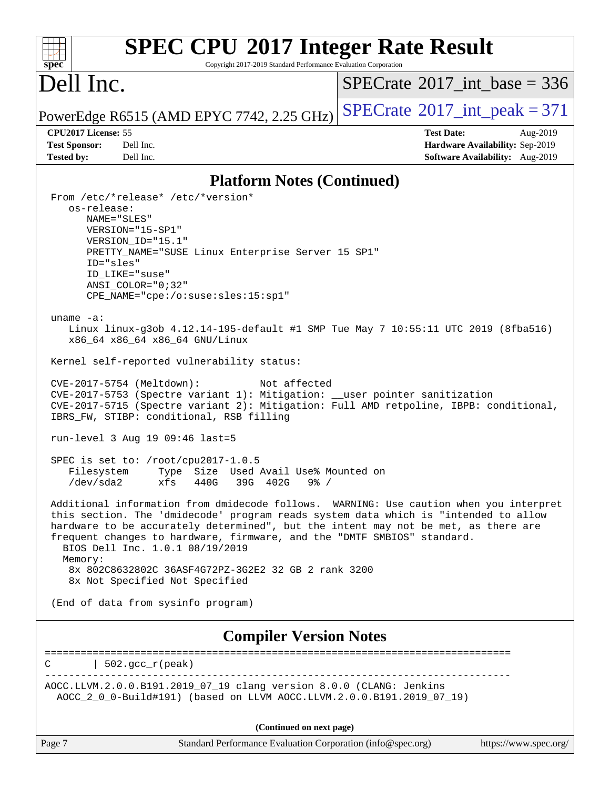#### **[SPEC CPU](http://www.spec.org/auto/cpu2017/Docs/result-fields.html#SPECCPU2017IntegerRateResult)[2017 Integer Rate Result](http://www.spec.org/auto/cpu2017/Docs/result-fields.html#SPECCPU2017IntegerRateResult)**  $+\ +$ **[spec](http://www.spec.org/)** Copyright 2017-2019 Standard Performance Evaluation Corporation Dell Inc.  $SPECrate$ <sup>®</sup>[2017\\_int\\_base =](http://www.spec.org/auto/cpu2017/Docs/result-fields.html#SPECrate2017intbase) 336 PowerEdge R6515 (AMD EPYC 7742, 2.25 GHz)  $\text{SPECrate}^{\circ}2017\_int\_peak = 371$  $\text{SPECrate}^{\circ}2017\_int\_peak = 371$  $\text{SPECrate}^{\circ}2017\_int\_peak = 371$ **[CPU2017 License:](http://www.spec.org/auto/cpu2017/Docs/result-fields.html#CPU2017License)** 55 **[Test Date:](http://www.spec.org/auto/cpu2017/Docs/result-fields.html#TestDate)** Aug-2019 **[Test Sponsor:](http://www.spec.org/auto/cpu2017/Docs/result-fields.html#TestSponsor)** Dell Inc. **[Hardware Availability:](http://www.spec.org/auto/cpu2017/Docs/result-fields.html#HardwareAvailability)** Sep-2019 **[Tested by:](http://www.spec.org/auto/cpu2017/Docs/result-fields.html#Testedby)** Dell Inc. **[Software Availability:](http://www.spec.org/auto/cpu2017/Docs/result-fields.html#SoftwareAvailability)** Aug-2019 **[Platform Notes \(Continued\)](http://www.spec.org/auto/cpu2017/Docs/result-fields.html#PlatformNotes)** From /etc/\*release\* /etc/\*version\* os-release: NAME="SLES" VERSION="15-SP1" VERSION\_ID="15.1" PRETTY\_NAME="SUSE Linux Enterprise Server 15 SP1" ID="sles" ID\_LIKE="suse" ANSI\_COLOR="0;32" CPE\_NAME="cpe:/o:suse:sles:15:sp1" uname -a: Linux linux-g3ob 4.12.14-195-default #1 SMP Tue May 7 10:55:11 UTC 2019 (8fba516) x86\_64 x86\_64 x86\_64 GNU/Linux Kernel self-reported vulnerability status: CVE-2017-5754 (Meltdown): Not affected CVE-2017-5753 (Spectre variant 1): Mitigation: \_\_user pointer sanitization CVE-2017-5715 (Spectre variant 2): Mitigation: Full AMD retpoline, IBPB: conditional, IBRS\_FW, STIBP: conditional, RSB filling run-level 3 Aug 19 09:46 last=5 SPEC is set to: /root/cpu2017-1.0.5 Filesystem Type Size Used Avail Use% Mounted on /dev/sda2 xfs 440G 39G 402G 9% / Additional information from dmidecode follows. WARNING: Use caution when you interpret this section. The 'dmidecode' program reads system data which is "intended to allow hardware to be accurately determined", but the intent may not be met, as there are frequent changes to hardware, firmware, and the "DMTF SMBIOS" standard. BIOS Dell Inc. 1.0.1 08/19/2019 Memory: 8x 802C8632802C 36ASF4G72PZ-3G2E2 32 GB 2 rank 3200 8x Not Specified Not Specified (End of data from sysinfo program) **[Compiler Version Notes](http://www.spec.org/auto/cpu2017/Docs/result-fields.html#CompilerVersionNotes)** ============================================================================== C  $| 502 \text{ qcc r}$  (peak) ------------------------------------------------------------------------------ AOCC.LLVM.2.0.0.B191.2019\_07\_19 clang version 8.0.0 (CLANG: Jenkins AOCC\_2\_0\_0-Build#191) (based on LLVM AOCC.LLVM.2.0.0.B191.2019\_07\_19) **(Continued on next page)**

| age |  |  |
|-----|--|--|
|     |  |  |

Page 7 Standard Performance Evaluation Corporation [\(info@spec.org\)](mailto:info@spec.org) <https://www.spec.org/>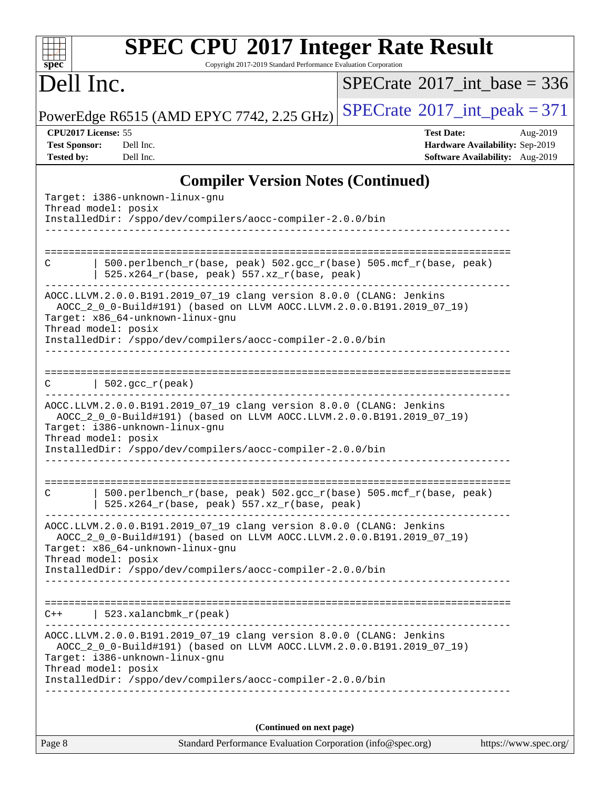| <b>SPEC CPU®2017 Integer Rate Result</b><br>$Spec^*$<br>Copyright 2017-2019 Standard Performance Evaluation Corporation |                                           |
|-------------------------------------------------------------------------------------------------------------------------|-------------------------------------------|
| Dell Inc.                                                                                                               | SPECrate <sup>®</sup> 2017 int base = 336 |

PowerEdge R6515 (AMD EPYC 7742, 2.25 GHz)  $\left|$  [SPECrate](http://www.spec.org/auto/cpu2017/Docs/result-fields.html#SPECrate2017intpeak)®[2017\\_int\\_peak = 3](http://www.spec.org/auto/cpu2017/Docs/result-fields.html#SPECrate2017intpeak)71

**[CPU2017 License:](http://www.spec.org/auto/cpu2017/Docs/result-fields.html#CPU2017License)** 55 **[Test Date:](http://www.spec.org/auto/cpu2017/Docs/result-fields.html#TestDate)** Aug-2019 **[Test Sponsor:](http://www.spec.org/auto/cpu2017/Docs/result-fields.html#TestSponsor)** Dell Inc. **[Hardware Availability:](http://www.spec.org/auto/cpu2017/Docs/result-fields.html#HardwareAvailability)** Sep-2019 **[Tested by:](http://www.spec.org/auto/cpu2017/Docs/result-fields.html#Testedby)** Dell Inc. **[Software Availability:](http://www.spec.org/auto/cpu2017/Docs/result-fields.html#SoftwareAvailability)** Aug-2019

### **[Compiler Version Notes \(Continued\)](http://www.spec.org/auto/cpu2017/Docs/result-fields.html#CompilerVersionNotes)**

| Target: i386-unknown-linux-gnu<br>Thread model: posix<br>InstalledDir: /sppo/dev/compilers/aocc-compiler-2.0.0/bin                                                                                                                                                   |  |  |  |  |  |  |  |  |
|----------------------------------------------------------------------------------------------------------------------------------------------------------------------------------------------------------------------------------------------------------------------|--|--|--|--|--|--|--|--|
|                                                                                                                                                                                                                                                                      |  |  |  |  |  |  |  |  |
| 500.perlbench_r(base, peak) 502.gcc_r(base) 505.mcf_r(base, peak)<br>С<br>525.x264_r(base, peak) 557.xz_r(base, peak)                                                                                                                                                |  |  |  |  |  |  |  |  |
| AOCC.LLVM.2.0.0.B191.2019_07_19 clang version 8.0.0 (CLANG: Jenkins<br>AOCC_2_0_0-Build#191) (based on LLVM AOCC.LLVM.2.0.0.B191.2019_07_19)<br>Target: x86_64-unknown-linux-gnu<br>Thread model: posix<br>InstalledDir: /sppo/dev/compilers/aocc-compiler-2.0.0/bin |  |  |  |  |  |  |  |  |
| $  502.\text{gcc_r(peak)}$<br>C                                                                                                                                                                                                                                      |  |  |  |  |  |  |  |  |
| AOCC.LLVM.2.0.0.B191.2019_07_19 clang version 8.0.0 (CLANG: Jenkins<br>AOCC_2_0_0-Build#191) (based on LLVM AOCC.LLVM.2.0.0.B191.2019_07_19)<br>Target: i386-unknown-linux-gnu<br>Thread model: posix                                                                |  |  |  |  |  |  |  |  |
| InstalledDir: /sppo/dev/compilers/aocc-compiler-2.0.0/bin                                                                                                                                                                                                            |  |  |  |  |  |  |  |  |
| 500.perlbench_r(base, peak) 502.gcc_r(base) 505.mcf_r(base, peak)<br>С<br>525.x264_r(base, peak) 557.xz_r(base, peak)                                                                                                                                                |  |  |  |  |  |  |  |  |
| AOCC.LLVM.2.0.0.B191.2019_07_19 clang version 8.0.0 (CLANG: Jenkins<br>AOCC_2_0_0-Build#191) (based on LLVM AOCC.LLVM.2.0.0.B191.2019_07_19)<br>Target: x86_64-unknown-linux-gnu<br>Thread model: posix                                                              |  |  |  |  |  |  |  |  |
| InstalledDir: /sppo/dev/compilers/aocc-compiler-2.0.0/bin                                                                                                                                                                                                            |  |  |  |  |  |  |  |  |
| 523.xalancbmk_r(peak)<br>$C++$                                                                                                                                                                                                                                       |  |  |  |  |  |  |  |  |
| --------------------------------<br>AOCC.LLVM.2.0.0.B191.2019_07_19 clang version 8.0.0 (CLANG: Jenkins<br>AOCC_2_0_0-Build#191) (based on LLVM AOCC.LLVM.2.0.0.B191.2019_07_19)<br>Target: i386-unknown-linux-gnu<br>Thread model: posix                            |  |  |  |  |  |  |  |  |
| InstalledDir: /sppo/dev/compilers/aocc-compiler-2.0.0/bin                                                                                                                                                                                                            |  |  |  |  |  |  |  |  |
| (Continued on next page)                                                                                                                                                                                                                                             |  |  |  |  |  |  |  |  |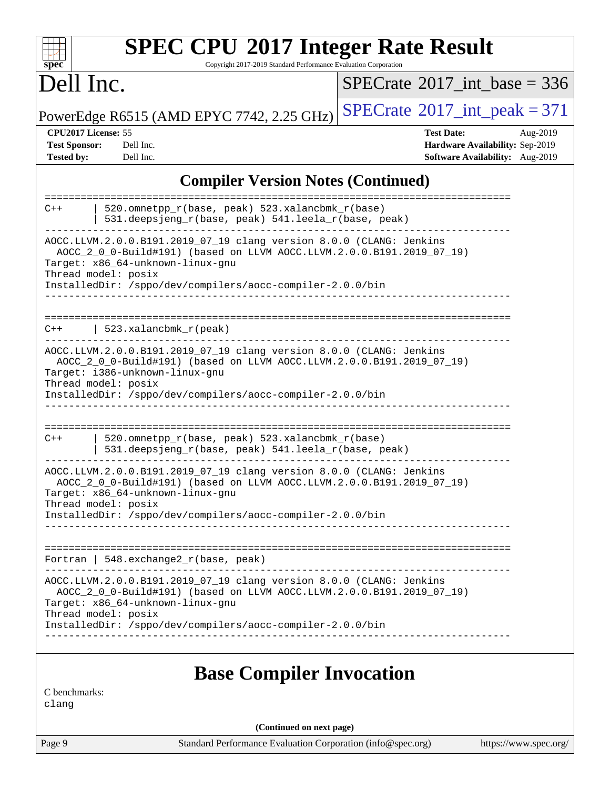| <b>SPEC CPU®2017 Integer Rate Result</b><br>Copyright 2017-2019 Standard Performance Evaluation Corporation<br>$spec^*$                                                                                                                                              |                                                                                                     |
|----------------------------------------------------------------------------------------------------------------------------------------------------------------------------------------------------------------------------------------------------------------------|-----------------------------------------------------------------------------------------------------|
| Dell Inc.                                                                                                                                                                                                                                                            | $SPECTate$ <sup>®</sup> 2017_int_base = 336                                                         |
| PowerEdge R6515 (AMD EPYC 7742, 2.25 GHz)                                                                                                                                                                                                                            | $SPECrate@2017(int _peak = 371$                                                                     |
| CPU2017 License: 55<br><b>Test Sponsor:</b><br>Dell Inc.<br><b>Tested by:</b><br>Dell Inc.                                                                                                                                                                           | <b>Test Date:</b><br>Aug-2019<br>Hardware Availability: Sep-2019<br>Software Availability: Aug-2019 |
| <b>Compiler Version Notes (Continued)</b>                                                                                                                                                                                                                            |                                                                                                     |
| 520.omnetpp_r(base, peak) 523.xalancbmk_r(base)<br>$C++$<br>531.deepsjeng_r(base, peak) 541.leela_r(base, peak)                                                                                                                                                      |                                                                                                     |
| AOCC.LLVM.2.0.0.B191.2019_07_19 clang version 8.0.0 (CLANG: Jenkins<br>AOCC_2_0_0-Build#191) (based on LLVM AOCC.LLVM.2.0.0.B191.2019_07_19)<br>Target: x86_64-unknown-linux-gnu<br>Thread model: posix<br>InstalledDir: /sppo/dev/compilers/aocc-compiler-2.0.0/bin |                                                                                                     |
| 523.xalancbmk_r(peak)<br>$C++$                                                                                                                                                                                                                                       |                                                                                                     |
| AOCC.LLVM.2.0.0.B191.2019_07_19 clang version 8.0.0 (CLANG: Jenkins<br>AOCC_2_0_0-Build#191) (based on LLVM AOCC.LLVM.2.0.0.B191.2019_07_19)<br>Target: i386-unknown-linux-gnu<br>Thread model: posix<br>InstalledDir: /sppo/dev/compilers/aocc-compiler-2.0.0/bin   |                                                                                                     |
| 520.omnetpp_r(base, peak) 523.xalancbmk_r(base)<br>$C++$<br>531.deepsjeng_r(base, peak) 541.leela_r(base, peak)                                                                                                                                                      |                                                                                                     |
| AOCC.LLVM.2.0.0.B191.2019_07_19 clang version 8.0.0 (CLANG: Jenkins<br>AOCC_2_0_0-Build#191) (based on LLVM AOCC.LLVM.2.0.0.B191.2019_07_19)<br>Target: x86_64-unknown-linux-gnu<br>Thread model: posix                                                              |                                                                                                     |
| InstalledDir: /sppo/dev/compilers/aocc-compiler-2.0.0/bin                                                                                                                                                                                                            |                                                                                                     |
| Fortran   $548$ . exchange $2\lfloor r(\text{base}, \text{peak}) \rfloor$                                                                                                                                                                                            |                                                                                                     |
| AOCC.LLVM.2.0.0.B191.2019_07_19 clang version 8.0.0 (CLANG: Jenkins<br>AOCC_2_0_0-Build#191) (based on LLVM AOCC.LLVM.2.0.0.B191.2019_07_19)<br>Target: x86_64-unknown-linux-gnu<br>Thread model: posix                                                              |                                                                                                     |
| InstalledDir: /sppo/dev/compilers/aocc-compiler-2.0.0/bin                                                                                                                                                                                                            |                                                                                                     |
| <b>Base Compiler Invocation</b><br>C benchmarks:<br>clang                                                                                                                                                                                                            |                                                                                                     |
| (Continued on next page)                                                                                                                                                                                                                                             |                                                                                                     |
| Page 9<br>Standard Performance Evaluation Corporation (info@spec.org)                                                                                                                                                                                                | https://www.spec.org/                                                                               |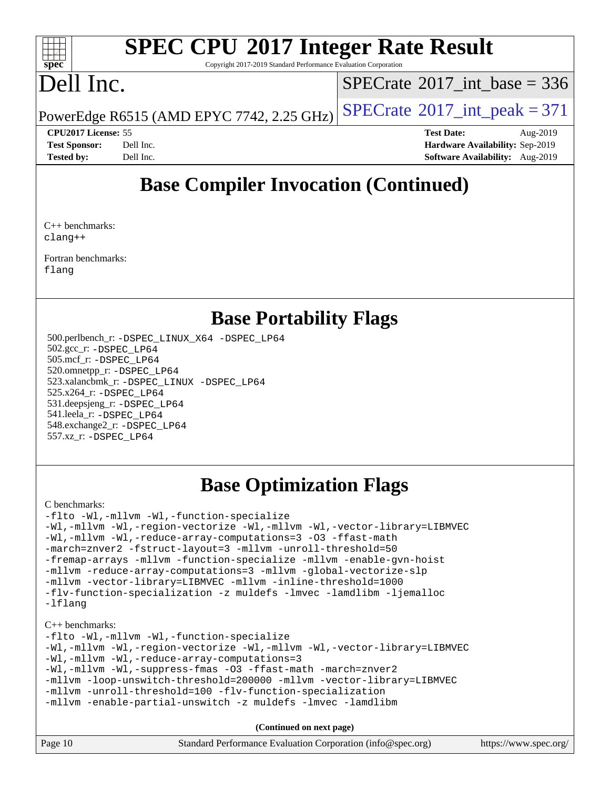#### $\pm t$ **[spec](http://www.spec.org/)**

# **[SPEC CPU](http://www.spec.org/auto/cpu2017/Docs/result-fields.html#SPECCPU2017IntegerRateResult)[2017 Integer Rate Result](http://www.spec.org/auto/cpu2017/Docs/result-fields.html#SPECCPU2017IntegerRateResult)**

Copyright 2017-2019 Standard Performance Evaluation Corporation

## Dell Inc.

 $SPECTate@2017_int\_base = 336$ 

PowerEdge R6515 (AMD EPYC 7742, 2.25 GHz)  $\left|$  [SPECrate](http://www.spec.org/auto/cpu2017/Docs/result-fields.html#SPECrate2017intpeak)®[2017\\_int\\_peak = 3](http://www.spec.org/auto/cpu2017/Docs/result-fields.html#SPECrate2017intpeak)71

**[CPU2017 License:](http://www.spec.org/auto/cpu2017/Docs/result-fields.html#CPU2017License)** 55 **[Test Date:](http://www.spec.org/auto/cpu2017/Docs/result-fields.html#TestDate)** Aug-2019 **[Test Sponsor:](http://www.spec.org/auto/cpu2017/Docs/result-fields.html#TestSponsor)** Dell Inc. **[Hardware Availability:](http://www.spec.org/auto/cpu2017/Docs/result-fields.html#HardwareAvailability)** Sep-2019 **[Tested by:](http://www.spec.org/auto/cpu2017/Docs/result-fields.html#Testedby)** Dell Inc. **[Software Availability:](http://www.spec.org/auto/cpu2017/Docs/result-fields.html#SoftwareAvailability)** Aug-2019

### **[Base Compiler Invocation \(Continued\)](http://www.spec.org/auto/cpu2017/Docs/result-fields.html#BaseCompilerInvocation)**

[C++ benchmarks](http://www.spec.org/auto/cpu2017/Docs/result-fields.html#CXXbenchmarks): [clang++](http://www.spec.org/cpu2017/results/res2019q3/cpu2017-20190831-17271.flags.html#user_CXXbase_clang-cpp)

[Fortran benchmarks](http://www.spec.org/auto/cpu2017/Docs/result-fields.html#Fortranbenchmarks): [flang](http://www.spec.org/cpu2017/results/res2019q3/cpu2017-20190831-17271.flags.html#user_FCbase_flang)

### **[Base Portability Flags](http://www.spec.org/auto/cpu2017/Docs/result-fields.html#BasePortabilityFlags)**

 500.perlbench\_r: [-DSPEC\\_LINUX\\_X64](http://www.spec.org/cpu2017/results/res2019q3/cpu2017-20190831-17271.flags.html#b500.perlbench_r_basePORTABILITY_DSPEC_LINUX_X64) [-DSPEC\\_LP64](http://www.spec.org/cpu2017/results/res2019q3/cpu2017-20190831-17271.flags.html#b500.perlbench_r_baseEXTRA_PORTABILITY_DSPEC_LP64) 502.gcc\_r: [-DSPEC\\_LP64](http://www.spec.org/cpu2017/results/res2019q3/cpu2017-20190831-17271.flags.html#suite_baseEXTRA_PORTABILITY502_gcc_r_DSPEC_LP64) 505.mcf\_r: [-DSPEC\\_LP64](http://www.spec.org/cpu2017/results/res2019q3/cpu2017-20190831-17271.flags.html#suite_baseEXTRA_PORTABILITY505_mcf_r_DSPEC_LP64) 520.omnetpp\_r: [-DSPEC\\_LP64](http://www.spec.org/cpu2017/results/res2019q3/cpu2017-20190831-17271.flags.html#suite_baseEXTRA_PORTABILITY520_omnetpp_r_DSPEC_LP64) 523.xalancbmk\_r: [-DSPEC\\_LINUX](http://www.spec.org/cpu2017/results/res2019q3/cpu2017-20190831-17271.flags.html#b523.xalancbmk_r_basePORTABILITY_DSPEC_LINUX) [-DSPEC\\_LP64](http://www.spec.org/cpu2017/results/res2019q3/cpu2017-20190831-17271.flags.html#suite_baseEXTRA_PORTABILITY523_xalancbmk_r_DSPEC_LP64) 525.x264\_r: [-DSPEC\\_LP64](http://www.spec.org/cpu2017/results/res2019q3/cpu2017-20190831-17271.flags.html#suite_baseEXTRA_PORTABILITY525_x264_r_DSPEC_LP64) 531.deepsjeng\_r: [-DSPEC\\_LP64](http://www.spec.org/cpu2017/results/res2019q3/cpu2017-20190831-17271.flags.html#suite_baseEXTRA_PORTABILITY531_deepsjeng_r_DSPEC_LP64) 541.leela\_r: [-DSPEC\\_LP64](http://www.spec.org/cpu2017/results/res2019q3/cpu2017-20190831-17271.flags.html#suite_baseEXTRA_PORTABILITY541_leela_r_DSPEC_LP64) 548.exchange2\_r: [-DSPEC\\_LP64](http://www.spec.org/cpu2017/results/res2019q3/cpu2017-20190831-17271.flags.html#suite_baseEXTRA_PORTABILITY548_exchange2_r_DSPEC_LP64) 557.xz\_r: [-DSPEC\\_LP64](http://www.spec.org/cpu2017/results/res2019q3/cpu2017-20190831-17271.flags.html#suite_baseEXTRA_PORTABILITY557_xz_r_DSPEC_LP64)

### **[Base Optimization Flags](http://www.spec.org/auto/cpu2017/Docs/result-fields.html#BaseOptimizationFlags)**

#### [C benchmarks](http://www.spec.org/auto/cpu2017/Docs/result-fields.html#Cbenchmarks):

[-flto](http://www.spec.org/cpu2017/results/res2019q3/cpu2017-20190831-17271.flags.html#user_CCbase_aocc-flto) [-Wl,-mllvm -Wl,-function-specialize](http://www.spec.org/cpu2017/results/res2019q3/cpu2017-20190831-17271.flags.html#user_CCbase_F-function-specialize_7e7e661e57922243ee67c9a1251cb8910e607325179a0ce7f2884e09a6f5d4a5ef0ae4f37e8a2a11c95fc48e931f06dc2b6016f14b511fcb441e048bef1b065a) [-Wl,-mllvm -Wl,-region-vectorize](http://www.spec.org/cpu2017/results/res2019q3/cpu2017-20190831-17271.flags.html#user_CCbase_F-region-vectorize_fb6c6b5aa293c88efc6c7c2b52b20755e943585b1fe8658c35afef78727fff56e1a56891413c30e36b8e2a6f9a71126986319243e80eb6110b78b288f533c52b) [-Wl,-mllvm -Wl,-vector-library=LIBMVEC](http://www.spec.org/cpu2017/results/res2019q3/cpu2017-20190831-17271.flags.html#user_CCbase_F-use-vector-library_0a14b27fae317f283640384a31f7bfcc2bd4c1d0b5cfc618a3a430800c9b20217b00f61303eff223a3251b4f06ffbc9739dc5296db9d1fbb9ad24a3939d86d66) [-Wl,-mllvm -Wl,-reduce-array-computations=3](http://www.spec.org/cpu2017/results/res2019q3/cpu2017-20190831-17271.flags.html#user_CCbase_F-reduce-array-computations_b882aefe7a5dda4e33149f6299762b9a720dace3e498e13756f4c04e5a19edf5315c1f3993de2e61ec41e8c206231f84e05da7040e1bb5d69ba27d10a12507e4) [-O3](http://www.spec.org/cpu2017/results/res2019q3/cpu2017-20190831-17271.flags.html#user_CCbase_F-O3) [-ffast-math](http://www.spec.org/cpu2017/results/res2019q3/cpu2017-20190831-17271.flags.html#user_CCbase_aocc-ffast-math) [-march=znver2](http://www.spec.org/cpu2017/results/res2019q3/cpu2017-20190831-17271.flags.html#user_CCbase_aocc-march_3e2e19cff2eeef60c5d90b059483627c9ea47eca6d66670dbd53f9185f6439e27eb5e104cf773e9e8ab18c8842ce63e461a3e948d0214bd567ef3ade411bf467) [-fstruct-layout=3](http://www.spec.org/cpu2017/results/res2019q3/cpu2017-20190831-17271.flags.html#user_CCbase_F-struct-layout) [-mllvm -unroll-threshold=50](http://www.spec.org/cpu2017/results/res2019q3/cpu2017-20190831-17271.flags.html#user_CCbase_F-unroll-threshold_458874500b2c105d6d5cb4d7a611c40e2b16e9e3d26b355fea72d644c3673b4de4b3932662f0ed3dbec75c491a13da2d2ca81180bd779dc531083ef1e1e549dc) [-fremap-arrays](http://www.spec.org/cpu2017/results/res2019q3/cpu2017-20190831-17271.flags.html#user_CCbase_F-fremap-arrays) [-mllvm -function-specialize](http://www.spec.org/cpu2017/results/res2019q3/cpu2017-20190831-17271.flags.html#user_CCbase_F-function-specialize_233b3bdba86027f1b094368157e481c5bc59f40286dc25bfadc1858dcd5745c24fd30d5f188710db7fea399bcc9f44a80b3ce3aacc70a8870250c3ae5e1f35b8) [-mllvm -enable-gvn-hoist](http://www.spec.org/cpu2017/results/res2019q3/cpu2017-20190831-17271.flags.html#user_CCbase_F-enable-gvn-hoist_e5856354646dd6ca1333a0ad99b817e4cf8932b91b82809fd8fd47ceff7b22a89eba5c98fd3e3fa5200368fd772cec3dd56abc3c8f7b655a71b9f9848dddedd5) [-mllvm -reduce-array-computations=3](http://www.spec.org/cpu2017/results/res2019q3/cpu2017-20190831-17271.flags.html#user_CCbase_F-reduce-array-computations_aceadb8604558b566e0e3a0d7a3c1533923dd1fa0889614e16288028922629a28d5695c24d3b3be4306b1e311c54317dfffe3a2e57fbcaabc737a1798de39145) [-mllvm -global-vectorize-slp](http://www.spec.org/cpu2017/results/res2019q3/cpu2017-20190831-17271.flags.html#user_CCbase_F-global-vectorize-slp_a3935e8627af4ced727033b1ffd4db27f4d541a363d28d82bf4c2925fb3a0fd4115d6e42d13a2829f9e024d6608eb67a85cb49770f2da5c5ac8dbc737afad603) [-mllvm -vector-library=LIBMVEC](http://www.spec.org/cpu2017/results/res2019q3/cpu2017-20190831-17271.flags.html#user_CCbase_F-use-vector-library_e584e20b4f7ec96aa109254b65d8e01d864f3d68580371b9d93ed7c338191d4cfce20c3c864632264effc6bbe4c7c38153d02096a342ee92501c4a53204a7871) [-mllvm -inline-threshold=1000](http://www.spec.org/cpu2017/results/res2019q3/cpu2017-20190831-17271.flags.html#user_CCbase_dragonegg-llvm-inline-threshold_b7832241b0a6397e4ecdbaf0eb7defdc10f885c2a282fa3240fdc99844d543fda39cf8a4a9dccf68cf19b5438ac3b455264f478df15da0f4988afa40d8243bab) [-flv-function-specialization](http://www.spec.org/cpu2017/results/res2019q3/cpu2017-20190831-17271.flags.html#user_CCbase_F-flv-function-specialization) [-z muldefs](http://www.spec.org/cpu2017/results/res2019q3/cpu2017-20190831-17271.flags.html#user_CCbase_aocc-muldefs) [-lmvec](http://www.spec.org/cpu2017/results/res2019q3/cpu2017-20190831-17271.flags.html#user_CCbase_F-lmvec) [-lamdlibm](http://www.spec.org/cpu2017/results/res2019q3/cpu2017-20190831-17271.flags.html#user_CCbase_F-lamdlibm) [-ljemalloc](http://www.spec.org/cpu2017/results/res2019q3/cpu2017-20190831-17271.flags.html#user_CCbase_jemalloc-lib) [-lflang](http://www.spec.org/cpu2017/results/res2019q3/cpu2017-20190831-17271.flags.html#user_CCbase_F-lflang)

#### [C++ benchmarks:](http://www.spec.org/auto/cpu2017/Docs/result-fields.html#CXXbenchmarks)

[-flto](http://www.spec.org/cpu2017/results/res2019q3/cpu2017-20190831-17271.flags.html#user_CXXbase_aocc-flto) [-Wl,-mllvm -Wl,-function-specialize](http://www.spec.org/cpu2017/results/res2019q3/cpu2017-20190831-17271.flags.html#user_CXXbase_F-function-specialize_7e7e661e57922243ee67c9a1251cb8910e607325179a0ce7f2884e09a6f5d4a5ef0ae4f37e8a2a11c95fc48e931f06dc2b6016f14b511fcb441e048bef1b065a) [-Wl,-mllvm -Wl,-region-vectorize](http://www.spec.org/cpu2017/results/res2019q3/cpu2017-20190831-17271.flags.html#user_CXXbase_F-region-vectorize_fb6c6b5aa293c88efc6c7c2b52b20755e943585b1fe8658c35afef78727fff56e1a56891413c30e36b8e2a6f9a71126986319243e80eb6110b78b288f533c52b) [-Wl,-mllvm -Wl,-vector-library=LIBMVEC](http://www.spec.org/cpu2017/results/res2019q3/cpu2017-20190831-17271.flags.html#user_CXXbase_F-use-vector-library_0a14b27fae317f283640384a31f7bfcc2bd4c1d0b5cfc618a3a430800c9b20217b00f61303eff223a3251b4f06ffbc9739dc5296db9d1fbb9ad24a3939d86d66) [-Wl,-mllvm -Wl,-reduce-array-computations=3](http://www.spec.org/cpu2017/results/res2019q3/cpu2017-20190831-17271.flags.html#user_CXXbase_F-reduce-array-computations_b882aefe7a5dda4e33149f6299762b9a720dace3e498e13756f4c04e5a19edf5315c1f3993de2e61ec41e8c206231f84e05da7040e1bb5d69ba27d10a12507e4) [-Wl,-mllvm -Wl,-suppress-fmas](http://www.spec.org/cpu2017/results/res2019q3/cpu2017-20190831-17271.flags.html#user_CXXbase_F-suppress-fmas_f00f00630e4a059e8af9c161e9bbf420bcf19890a7f99d5933525e66aa4b0bb3ab2339d2b12d97d3a5f5d271e839fe9c109938e91fe06230fb53651590cfa1e8) [-O3](http://www.spec.org/cpu2017/results/res2019q3/cpu2017-20190831-17271.flags.html#user_CXXbase_F-O3) [-ffast-math](http://www.spec.org/cpu2017/results/res2019q3/cpu2017-20190831-17271.flags.html#user_CXXbase_aocc-ffast-math) [-march=znver2](http://www.spec.org/cpu2017/results/res2019q3/cpu2017-20190831-17271.flags.html#user_CXXbase_aocc-march_3e2e19cff2eeef60c5d90b059483627c9ea47eca6d66670dbd53f9185f6439e27eb5e104cf773e9e8ab18c8842ce63e461a3e948d0214bd567ef3ade411bf467) [-mllvm -loop-unswitch-threshold=200000](http://www.spec.org/cpu2017/results/res2019q3/cpu2017-20190831-17271.flags.html#user_CXXbase_F-loop-unswitch-threshold_f9a82ae3270e55b5fbf79d0d96ee93606b73edbbe527d20b18b7bff1a3a146ad50cfc7454c5297978340ae9213029016a7d16221274d672d3f7f42ed25274e1d) [-mllvm -vector-library=LIBMVEC](http://www.spec.org/cpu2017/results/res2019q3/cpu2017-20190831-17271.flags.html#user_CXXbase_F-use-vector-library_e584e20b4f7ec96aa109254b65d8e01d864f3d68580371b9d93ed7c338191d4cfce20c3c864632264effc6bbe4c7c38153d02096a342ee92501c4a53204a7871) [-mllvm -unroll-threshold=100](http://www.spec.org/cpu2017/results/res2019q3/cpu2017-20190831-17271.flags.html#user_CXXbase_F-unroll-threshold_2755d0c78138845d361fa1543e3a063fffa198df9b3edf0cfb856bbc88a81e1769b12ac7a550c5d35197be55360db1a3f95a8d1304df999456cabf5120c45168) [-flv-function-specialization](http://www.spec.org/cpu2017/results/res2019q3/cpu2017-20190831-17271.flags.html#user_CXXbase_F-flv-function-specialization) [-mllvm -enable-partial-unswitch](http://www.spec.org/cpu2017/results/res2019q3/cpu2017-20190831-17271.flags.html#user_CXXbase_F-enable-partial-unswitch_6e1c33f981d77963b1eaf834973128a7f33ce3f8e27f54689656697a35e89dcc875281e0e6283d043e32f367dcb605ba0e307a92e830f7e326789fa6c61b35d3) [-z muldefs](http://www.spec.org/cpu2017/results/res2019q3/cpu2017-20190831-17271.flags.html#user_CXXbase_aocc-muldefs) [-lmvec](http://www.spec.org/cpu2017/results/res2019q3/cpu2017-20190831-17271.flags.html#user_CXXbase_F-lmvec) [-lamdlibm](http://www.spec.org/cpu2017/results/res2019q3/cpu2017-20190831-17271.flags.html#user_CXXbase_F-lamdlibm)

| Page 10 | Standard Performance Evaluation Corporation (info@spec.org) | https://www.spec.org/ |
|---------|-------------------------------------------------------------|-----------------------|
|---------|-------------------------------------------------------------|-----------------------|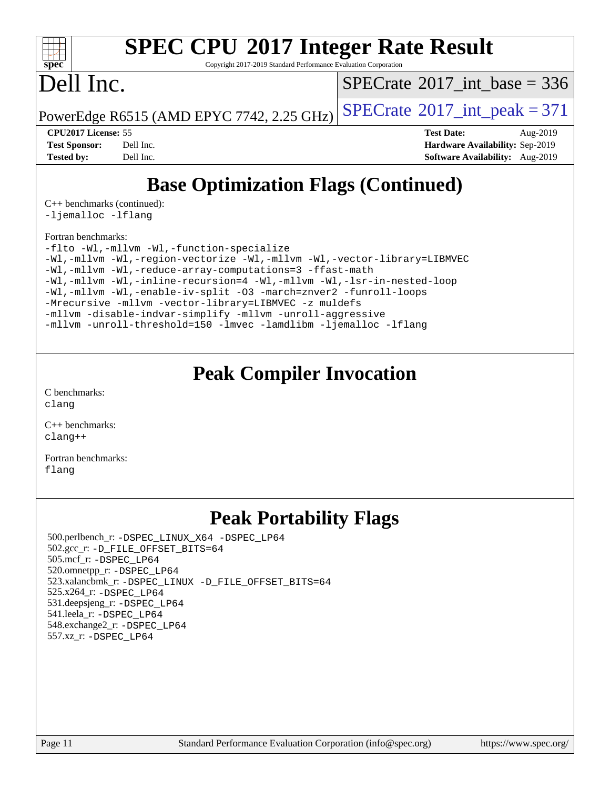

Copyright 2017-2019 Standard Performance Evaluation Corporation

## Dell Inc.

 $SPECTate@2017_int\_base = 336$ 

PowerEdge R6515 (AMD EPYC 7742, 2.25 GHz)  $\left|$  [SPECrate](http://www.spec.org/auto/cpu2017/Docs/result-fields.html#SPECrate2017intpeak)®[2017\\_int\\_peak = 3](http://www.spec.org/auto/cpu2017/Docs/result-fields.html#SPECrate2017intpeak)71

**[CPU2017 License:](http://www.spec.org/auto/cpu2017/Docs/result-fields.html#CPU2017License)** 55 **[Test Date:](http://www.spec.org/auto/cpu2017/Docs/result-fields.html#TestDate)** Aug-2019 **[Test Sponsor:](http://www.spec.org/auto/cpu2017/Docs/result-fields.html#TestSponsor)** Dell Inc. **[Hardware Availability:](http://www.spec.org/auto/cpu2017/Docs/result-fields.html#HardwareAvailability)** Sep-2019 **[Tested by:](http://www.spec.org/auto/cpu2017/Docs/result-fields.html#Testedby)** Dell Inc. **[Software Availability:](http://www.spec.org/auto/cpu2017/Docs/result-fields.html#SoftwareAvailability)** Aug-2019

## **[Base Optimization Flags \(Continued\)](http://www.spec.org/auto/cpu2017/Docs/result-fields.html#BaseOptimizationFlags)**

[C++ benchmarks](http://www.spec.org/auto/cpu2017/Docs/result-fields.html#CXXbenchmarks) (continued): [-ljemalloc](http://www.spec.org/cpu2017/results/res2019q3/cpu2017-20190831-17271.flags.html#user_CXXbase_jemalloc-lib) [-lflang](http://www.spec.org/cpu2017/results/res2019q3/cpu2017-20190831-17271.flags.html#user_CXXbase_F-lflang)

#### [Fortran benchmarks](http://www.spec.org/auto/cpu2017/Docs/result-fields.html#Fortranbenchmarks):

[-flto](http://www.spec.org/cpu2017/results/res2019q3/cpu2017-20190831-17271.flags.html#user_FCbase_aocc-flto) [-Wl,-mllvm -Wl,-function-specialize](http://www.spec.org/cpu2017/results/res2019q3/cpu2017-20190831-17271.flags.html#user_FCbase_F-function-specialize_7e7e661e57922243ee67c9a1251cb8910e607325179a0ce7f2884e09a6f5d4a5ef0ae4f37e8a2a11c95fc48e931f06dc2b6016f14b511fcb441e048bef1b065a) [-Wl,-mllvm -Wl,-region-vectorize](http://www.spec.org/cpu2017/results/res2019q3/cpu2017-20190831-17271.flags.html#user_FCbase_F-region-vectorize_fb6c6b5aa293c88efc6c7c2b52b20755e943585b1fe8658c35afef78727fff56e1a56891413c30e36b8e2a6f9a71126986319243e80eb6110b78b288f533c52b) [-Wl,-mllvm -Wl,-vector-library=LIBMVEC](http://www.spec.org/cpu2017/results/res2019q3/cpu2017-20190831-17271.flags.html#user_FCbase_F-use-vector-library_0a14b27fae317f283640384a31f7bfcc2bd4c1d0b5cfc618a3a430800c9b20217b00f61303eff223a3251b4f06ffbc9739dc5296db9d1fbb9ad24a3939d86d66) [-Wl,-mllvm -Wl,-reduce-array-computations=3](http://www.spec.org/cpu2017/results/res2019q3/cpu2017-20190831-17271.flags.html#user_FCbase_F-reduce-array-computations_b882aefe7a5dda4e33149f6299762b9a720dace3e498e13756f4c04e5a19edf5315c1f3993de2e61ec41e8c206231f84e05da7040e1bb5d69ba27d10a12507e4) [-ffast-math](http://www.spec.org/cpu2017/results/res2019q3/cpu2017-20190831-17271.flags.html#user_FCbase_aocc-ffast-math) [-Wl,-mllvm -Wl,-inline-recursion=4](http://www.spec.org/cpu2017/results/res2019q3/cpu2017-20190831-17271.flags.html#user_FCbase_F-inline-recursion) [-Wl,-mllvm -Wl,-lsr-in-nested-loop](http://www.spec.org/cpu2017/results/res2019q3/cpu2017-20190831-17271.flags.html#user_FCbase_F-lsr-in-nested-loop_de4bc7331d07d857538198a5cc9592bc905d78a18065d49b9acfd1f777ae9eca5716aaa3e0e674a48e2e5ec9dad184ee0c682635ad7eff4181b32ab748bf2f49) [-Wl,-mllvm -Wl,-enable-iv-split](http://www.spec.org/cpu2017/results/res2019q3/cpu2017-20190831-17271.flags.html#user_FCbase_F-enable-iv-split_efc18925ba63acc4bb74cb6e43d0987b7b3cf01924ad910e2a6edbbbd0f8b582e31f1ee7ccede3f08176ef2ad41c69507170fb32301bf478d45ceb38dfb89c5e) [-O3](http://www.spec.org/cpu2017/results/res2019q3/cpu2017-20190831-17271.flags.html#user_FCbase_F-O3) [-march=znver2](http://www.spec.org/cpu2017/results/res2019q3/cpu2017-20190831-17271.flags.html#user_FCbase_aocc-march_3e2e19cff2eeef60c5d90b059483627c9ea47eca6d66670dbd53f9185f6439e27eb5e104cf773e9e8ab18c8842ce63e461a3e948d0214bd567ef3ade411bf467) [-funroll-loops](http://www.spec.org/cpu2017/results/res2019q3/cpu2017-20190831-17271.flags.html#user_FCbase_aocc-unroll-loops) [-Mrecursive](http://www.spec.org/cpu2017/results/res2019q3/cpu2017-20190831-17271.flags.html#user_FCbase_F-mrecursive_20a145d63f12d5750a899e17d4450b5b8b40330a9bb4af13688ca650e6fb30857bbbe44fb35cdbb895df6e5b2769de0a0d7659f51ff17acfbef6febafec4023f) [-mllvm -vector-library=LIBMVEC](http://www.spec.org/cpu2017/results/res2019q3/cpu2017-20190831-17271.flags.html#user_FCbase_F-use-vector-library_e584e20b4f7ec96aa109254b65d8e01d864f3d68580371b9d93ed7c338191d4cfce20c3c864632264effc6bbe4c7c38153d02096a342ee92501c4a53204a7871) [-z muldefs](http://www.spec.org/cpu2017/results/res2019q3/cpu2017-20190831-17271.flags.html#user_FCbase_aocc-muldefs) [-mllvm -disable-indvar-simplify](http://www.spec.org/cpu2017/results/res2019q3/cpu2017-20190831-17271.flags.html#user_FCbase_F-disable-indvar-simplify_c8d861bf19eba5001219ab52ef051176e06bf3166017d5c1ce87aec66e795c6723d10bf23d5a91730d61ad4b3f566b39dd0a4d6e5b2af269ebae30428a1f3630) [-mllvm -unroll-aggressive](http://www.spec.org/cpu2017/results/res2019q3/cpu2017-20190831-17271.flags.html#user_FCbase_F-unroll-aggressive_a366db20af3fd871754361e6b05945ac700b8c3fc538cc6688c755ae5874c6da3d6f3bb6e8d93320d5094064830fdb2c06064831f0f08d916cd8f333e5dba6d9) [-mllvm -unroll-threshold=150](http://www.spec.org/cpu2017/results/res2019q3/cpu2017-20190831-17271.flags.html#user_FCbase_F-unroll-threshold_3352736ce55666ed13437f5f5fd6693920e68d4dfd26bba42492bb1c46b6d7692ff5ba7bd4d2ebdab48d140ca981a39154ff0664b4d322a66fc3d1aafa4d7ffe) [-lmvec](http://www.spec.org/cpu2017/results/res2019q3/cpu2017-20190831-17271.flags.html#user_FCbase_F-lmvec) [-lamdlibm](http://www.spec.org/cpu2017/results/res2019q3/cpu2017-20190831-17271.flags.html#user_FCbase_F-lamdlibm) [-ljemalloc](http://www.spec.org/cpu2017/results/res2019q3/cpu2017-20190831-17271.flags.html#user_FCbase_jemalloc-lib) [-lflang](http://www.spec.org/cpu2017/results/res2019q3/cpu2017-20190831-17271.flags.html#user_FCbase_F-lflang)

### **[Peak Compiler Invocation](http://www.spec.org/auto/cpu2017/Docs/result-fields.html#PeakCompilerInvocation)**

[C benchmarks](http://www.spec.org/auto/cpu2017/Docs/result-fields.html#Cbenchmarks): [clang](http://www.spec.org/cpu2017/results/res2019q3/cpu2017-20190831-17271.flags.html#user_CCpeak_clang-c)

[C++ benchmarks:](http://www.spec.org/auto/cpu2017/Docs/result-fields.html#CXXbenchmarks) [clang++](http://www.spec.org/cpu2017/results/res2019q3/cpu2017-20190831-17271.flags.html#user_CXXpeak_clang-cpp)

[Fortran benchmarks](http://www.spec.org/auto/cpu2017/Docs/result-fields.html#Fortranbenchmarks): [flang](http://www.spec.org/cpu2017/results/res2019q3/cpu2017-20190831-17271.flags.html#user_FCpeak_flang)

### **[Peak Portability Flags](http://www.spec.org/auto/cpu2017/Docs/result-fields.html#PeakPortabilityFlags)**

 500.perlbench\_r: [-DSPEC\\_LINUX\\_X64](http://www.spec.org/cpu2017/results/res2019q3/cpu2017-20190831-17271.flags.html#b500.perlbench_r_peakPORTABILITY_DSPEC_LINUX_X64) [-DSPEC\\_LP64](http://www.spec.org/cpu2017/results/res2019q3/cpu2017-20190831-17271.flags.html#b500.perlbench_r_peakEXTRA_PORTABILITY_DSPEC_LP64) 502.gcc\_r: [-D\\_FILE\\_OFFSET\\_BITS=64](http://www.spec.org/cpu2017/results/res2019q3/cpu2017-20190831-17271.flags.html#user_peakEXTRA_PORTABILITY502_gcc_r_F-D_FILE_OFFSET_BITS_5ae949a99b284ddf4e95728d47cb0843d81b2eb0e18bdfe74bbf0f61d0b064f4bda2f10ea5eb90e1dcab0e84dbc592acfc5018bc955c18609f94ddb8d550002c) 505.mcf\_r: [-DSPEC\\_LP64](http://www.spec.org/cpu2017/results/res2019q3/cpu2017-20190831-17271.flags.html#suite_peakEXTRA_PORTABILITY505_mcf_r_DSPEC_LP64) 520.omnetpp\_r: [-DSPEC\\_LP64](http://www.spec.org/cpu2017/results/res2019q3/cpu2017-20190831-17271.flags.html#suite_peakEXTRA_PORTABILITY520_omnetpp_r_DSPEC_LP64) 523.xalancbmk\_r: [-DSPEC\\_LINUX](http://www.spec.org/cpu2017/results/res2019q3/cpu2017-20190831-17271.flags.html#b523.xalancbmk_r_peakPORTABILITY_DSPEC_LINUX) [-D\\_FILE\\_OFFSET\\_BITS=64](http://www.spec.org/cpu2017/results/res2019q3/cpu2017-20190831-17271.flags.html#user_peakEXTRA_PORTABILITY523_xalancbmk_r_F-D_FILE_OFFSET_BITS_5ae949a99b284ddf4e95728d47cb0843d81b2eb0e18bdfe74bbf0f61d0b064f4bda2f10ea5eb90e1dcab0e84dbc592acfc5018bc955c18609f94ddb8d550002c) 525.x264\_r: [-DSPEC\\_LP64](http://www.spec.org/cpu2017/results/res2019q3/cpu2017-20190831-17271.flags.html#suite_peakEXTRA_PORTABILITY525_x264_r_DSPEC_LP64) 531.deepsjeng\_r: [-DSPEC\\_LP64](http://www.spec.org/cpu2017/results/res2019q3/cpu2017-20190831-17271.flags.html#suite_peakEXTRA_PORTABILITY531_deepsjeng_r_DSPEC_LP64) 541.leela\_r: [-DSPEC\\_LP64](http://www.spec.org/cpu2017/results/res2019q3/cpu2017-20190831-17271.flags.html#suite_peakEXTRA_PORTABILITY541_leela_r_DSPEC_LP64) 548.exchange2\_r: [-DSPEC\\_LP64](http://www.spec.org/cpu2017/results/res2019q3/cpu2017-20190831-17271.flags.html#suite_peakEXTRA_PORTABILITY548_exchange2_r_DSPEC_LP64) 557.xz\_r: [-DSPEC\\_LP64](http://www.spec.org/cpu2017/results/res2019q3/cpu2017-20190831-17271.flags.html#suite_peakEXTRA_PORTABILITY557_xz_r_DSPEC_LP64)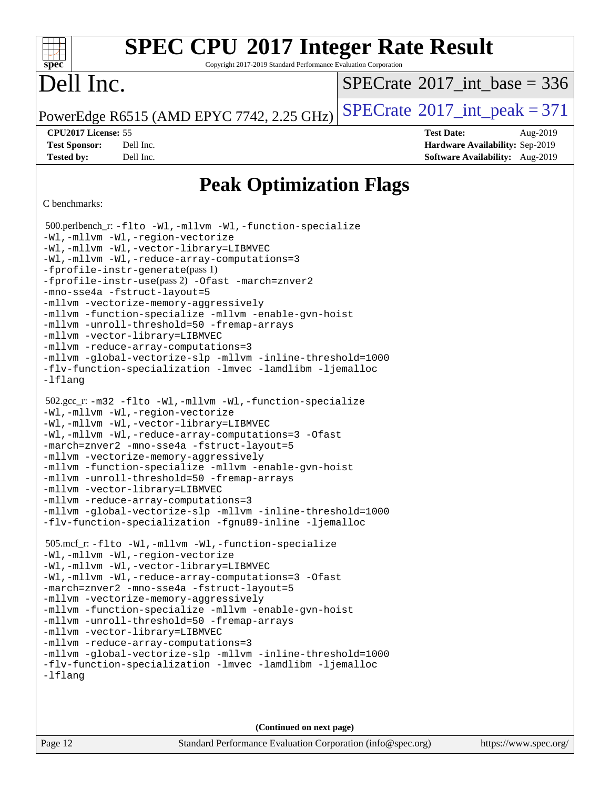Copyright 2017-2019 Standard Performance Evaluation Corporation

## Dell Inc.

**[spec](http://www.spec.org/)**

dd h

 $SPECTate@2017_int\_base = 336$ 

PowerEdge R6515 (AMD EPYC 7742, 2.25 GHz)  $\text{SPECrate}^{\circ}2017\_int\_peak = 371$  $\text{SPECrate}^{\circ}2017\_int\_peak = 371$  $\text{SPECrate}^{\circ}2017\_int\_peak = 371$ 

**[Test Sponsor:](http://www.spec.org/auto/cpu2017/Docs/result-fields.html#TestSponsor)** Dell Inc. **[Hardware Availability:](http://www.spec.org/auto/cpu2017/Docs/result-fields.html#HardwareAvailability)** Sep-2019 **[Tested by:](http://www.spec.org/auto/cpu2017/Docs/result-fields.html#Testedby)** Dell Inc. **[Software Availability:](http://www.spec.org/auto/cpu2017/Docs/result-fields.html#SoftwareAvailability)** Aug-2019

**[CPU2017 License:](http://www.spec.org/auto/cpu2017/Docs/result-fields.html#CPU2017License)** 55 **[Test Date:](http://www.spec.org/auto/cpu2017/Docs/result-fields.html#TestDate)** Aug-2019

**[Peak Optimization Flags](http://www.spec.org/auto/cpu2017/Docs/result-fields.html#PeakOptimizationFlags)**

#### [C benchmarks:](http://www.spec.org/auto/cpu2017/Docs/result-fields.html#Cbenchmarks)

```
 500.perlbench_r: -flto -Wl,-mllvm -Wl,-function-specialize
-Wl,-mllvm -Wl,-region-vectorize
-Wl,-mllvm -Wl,-vector-library=LIBMVEC
-Wl,-mllvm -Wl,-reduce-array-computations=3
-fprofile-instr-generate(pass 1)
-fprofile-instr-use(pass 2) -Ofast -march=znver2
-mno-sse4a -fstruct-layout=5
-mllvm -vectorize-memory-aggressively
-mllvm -function-specialize -mllvm -enable-gvn-hoist
-mllvm -unroll-threshold=50 -fremap-arrays
-mllvm -vector-library=LIBMVEC
-mllvm -reduce-array-computations=3
-mllvm -global-vectorize-slp -mllvm -inline-threshold=1000
-flv-function-specialization -lmvec -lamdlibm -ljemalloc
-lflang
 502.gcc_r: -m32 -flto -Wl,-mllvm -Wl,-function-specialize
-Wl,-mllvm -Wl,-region-vectorize
-Wl,-mllvm -Wl,-vector-library=LIBMVEC
-Wl,-mllvm -Wl,-reduce-array-computations=3 -Ofast
-march=znver2 -mno-sse4a -fstruct-layout=5
-mllvm -vectorize-memory-aggressively
-mllvm -function-specialize -mllvm -enable-gvn-hoist
-mllvm -unroll-threshold=50 -fremap-arrays
-mllvm -vector-library=LIBMVEC
-mllvm -reduce-array-computations=3
-mllvm -global-vectorize-slp -mllvm -inline-threshold=1000
-flv-function-specialization -fgnu89-inline -ljemalloc
 505.mcf_r: -flto -Wl,-mllvm -Wl,-function-specialize
-Wl,-mllvm -Wl,-region-vectorize
-Wl,-mllvm -Wl,-vector-library=LIBMVEC
-Wl,-mllvm -Wl,-reduce-array-computations=3 -Ofast
-march=znver2 -mno-sse4a -fstruct-layout=5
-mllvm -vectorize-memory-aggressively
-mllvm -function-specialize -mllvm -enable-gvn-hoist
-mllvm -unroll-threshold=50 -fremap-arrays
-mllvm -vector-library=LIBMVEC
-mllvm -reduce-array-computations=3
-mllvm -global-vectorize-slp -mllvm -inline-threshold=1000
-flv-function-specialization -lmvec -lamdlibm -ljemalloc
-lflang
```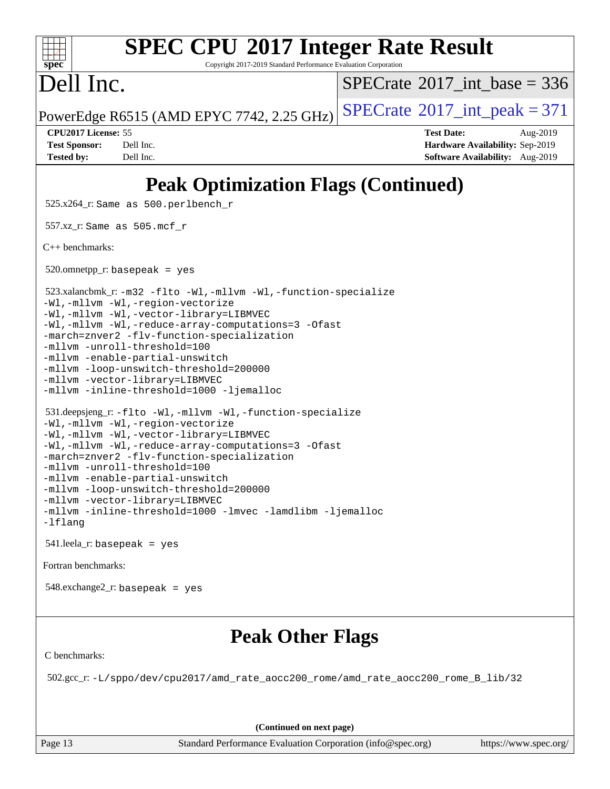| <b>SPEC CPU®2017 Integer Rate Result</b><br>spec <sup>®</sup><br>Copyright 2017-2019 Standard Performance Evaluation Corporation                                                                                                                                                                                                                                                                                                             |                                                                                                     |  |  |  |  |  |  |  |
|----------------------------------------------------------------------------------------------------------------------------------------------------------------------------------------------------------------------------------------------------------------------------------------------------------------------------------------------------------------------------------------------------------------------------------------------|-----------------------------------------------------------------------------------------------------|--|--|--|--|--|--|--|
| Dell Inc.                                                                                                                                                                                                                                                                                                                                                                                                                                    | $SPECTate$ <sup>®</sup> 2017_int_base = 336                                                         |  |  |  |  |  |  |  |
| PowerEdge R6515 (AMD EPYC 7742, 2.25 GHz)                                                                                                                                                                                                                                                                                                                                                                                                    | $SPECTate$ <sup>®</sup> 2017_int_peak = 371                                                         |  |  |  |  |  |  |  |
| CPU2017 License: 55<br>Dell Inc.<br><b>Test Sponsor:</b><br>Dell Inc.<br><b>Tested by:</b>                                                                                                                                                                                                                                                                                                                                                   | <b>Test Date:</b><br>Aug-2019<br>Hardware Availability: Sep-2019<br>Software Availability: Aug-2019 |  |  |  |  |  |  |  |
| <b>Peak Optimization Flags (Continued)</b>                                                                                                                                                                                                                                                                                                                                                                                                   |                                                                                                     |  |  |  |  |  |  |  |
| 525.x264_r: Same as 500.perlbench_r                                                                                                                                                                                                                                                                                                                                                                                                          |                                                                                                     |  |  |  |  |  |  |  |
| 557.xz_r: Same as 505.mcf_r                                                                                                                                                                                                                                                                                                                                                                                                                  |                                                                                                     |  |  |  |  |  |  |  |
| $C_{++}$ benchmarks:                                                                                                                                                                                                                                                                                                                                                                                                                         |                                                                                                     |  |  |  |  |  |  |  |
| $520.$ omnetpp_r: basepeak = yes                                                                                                                                                                                                                                                                                                                                                                                                             |                                                                                                     |  |  |  |  |  |  |  |
| 523.xalancbmk_r: -m32 -flto -Wl,-mllvm -Wl,-function-specialize<br>-Wl,-mllvm -Wl,-region-vectorize<br>-Wl,-mllvm -Wl,-vector-library=LIBMVEC<br>-Wl,-mllvm -Wl,-reduce-array-computations=3 -Ofast<br>-march=znver2 -flv-function-specialization<br>-mllvm -unroll-threshold=100<br>-mllvm -enable-partial-unswitch<br>-mllvm -loop-unswitch-threshold=200000<br>-mllvm -vector-library=LIBMVEC<br>-mllvm -inline-threshold=1000 -ljemalloc |                                                                                                     |  |  |  |  |  |  |  |
| 531.deepsjeng_r:-flto -Wl,-mllvm -Wl,-function-specialize<br>-Wl,-mllvm -Wl,-region-vectorize<br>-Wl,-mllvm -Wl,-vector-library=LIBMVEC<br>-Wl,-mllvm -Wl,-reduce-array-computations=3 -Ofast<br>-march=znver2 -flv-function-specialization<br>-mllvm -unroll-threshold=100<br>-mllvm -enable-partial-unswitch<br>-mllvm -loop-unswitch-threshold=200000                                                                                     |                                                                                                     |  |  |  |  |  |  |  |

### **[Peak Other Flags](http://www.spec.org/auto/cpu2017/Docs/result-fields.html#PeakOtherFlags)**

[C benchmarks](http://www.spec.org/auto/cpu2017/Docs/result-fields.html#Cbenchmarks):

[Fortran benchmarks](http://www.spec.org/auto/cpu2017/Docs/result-fields.html#Fortranbenchmarks):

[-lflang](http://www.spec.org/cpu2017/results/res2019q3/cpu2017-20190831-17271.flags.html#user_peakEXTRA_LIBS531_deepsjeng_r_F-lflang)

[-mllvm -vector-library=LIBMVEC](http://www.spec.org/cpu2017/results/res2019q3/cpu2017-20190831-17271.flags.html#user_peakCXXOPTIMIZE531_deepsjeng_r_F-use-vector-library_e584e20b4f7ec96aa109254b65d8e01d864f3d68580371b9d93ed7c338191d4cfce20c3c864632264effc6bbe4c7c38153d02096a342ee92501c4a53204a7871)

541.leela\_r: basepeak = yes

548.exchange2\_r: basepeak = yes

[-mllvm -inline-threshold=1000](http://www.spec.org/cpu2017/results/res2019q3/cpu2017-20190831-17271.flags.html#user_peakCXXOPTIMIZE531_deepsjeng_r_dragonegg-llvm-inline-threshold_b7832241b0a6397e4ecdbaf0eb7defdc10f885c2a282fa3240fdc99844d543fda39cf8a4a9dccf68cf19b5438ac3b455264f478df15da0f4988afa40d8243bab) [-lmvec](http://www.spec.org/cpu2017/results/res2019q3/cpu2017-20190831-17271.flags.html#user_peakEXTRA_LIBS531_deepsjeng_r_F-lmvec) [-lamdlibm](http://www.spec.org/cpu2017/results/res2019q3/cpu2017-20190831-17271.flags.html#user_peakEXTRA_LIBS531_deepsjeng_r_F-lamdlibm) [-ljemalloc](http://www.spec.org/cpu2017/results/res2019q3/cpu2017-20190831-17271.flags.html#user_peakEXTRA_LIBS531_deepsjeng_r_jemalloc-lib)

502.gcc\_r: [-L/sppo/dev/cpu2017/amd\\_rate\\_aocc200\\_rome/amd\\_rate\\_aocc200\\_rome\\_B\\_lib/32](http://www.spec.org/cpu2017/results/res2019q3/cpu2017-20190831-17271.flags.html#user_peakEXTRA_LIBS502_gcc_r_Link_path_b5b00bf31c61d6947cc4d630bced3fb89849443ebddda32d892fa949b687351d25501389afe57599b9ceaeea7a84dd539259c16c4264887e55121a7d0c1762af)

**(Continued on next page)**

Page 13 Standard Performance Evaluation Corporation [\(info@spec.org\)](mailto:info@spec.org) <https://www.spec.org/>